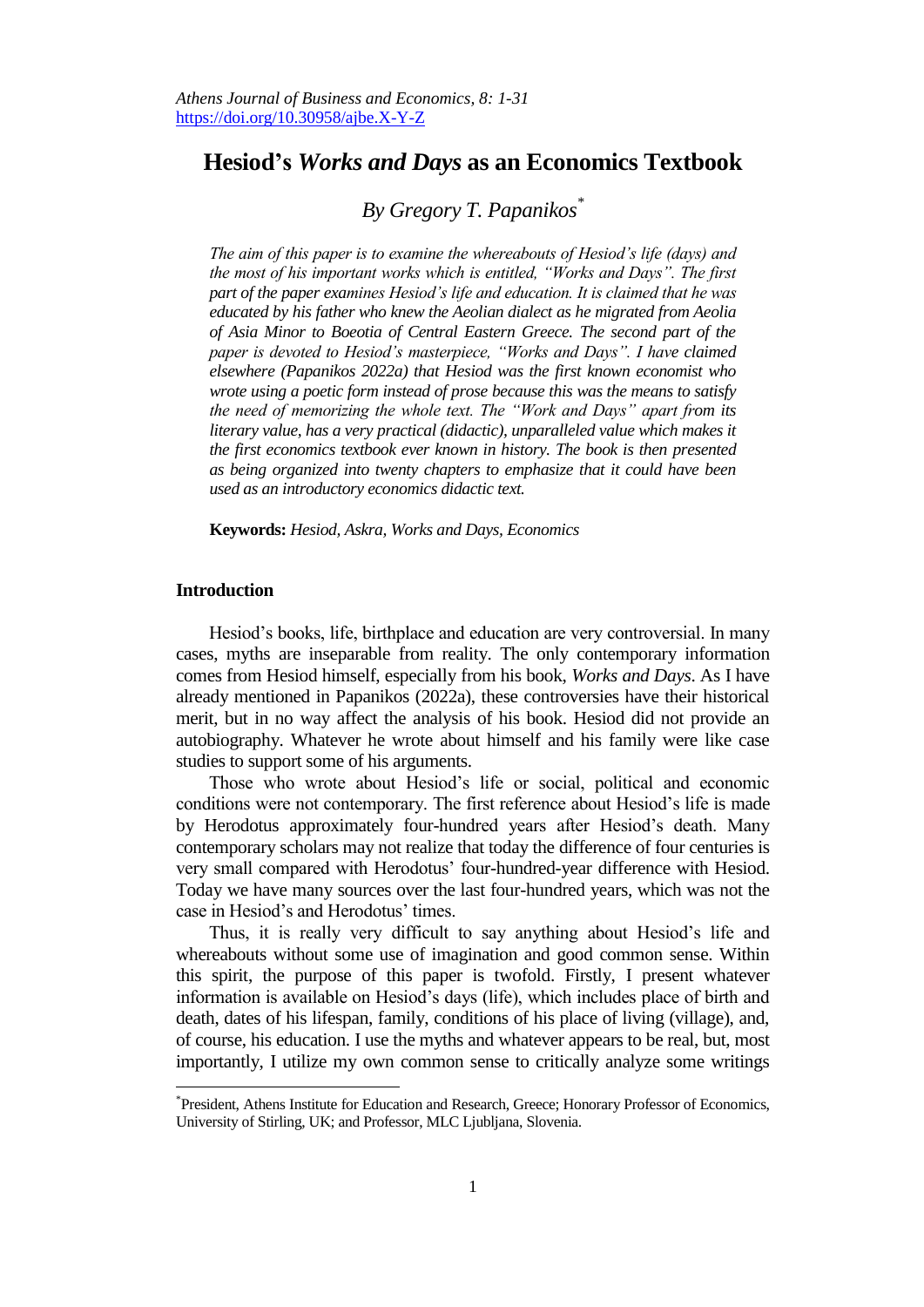# **Hesiod's** *Works and Days* **as an Economics Textbook**

# *By Gregory T. Papanikos\**

*The aim of this paper is to examine the whereabouts of Hesiod's life (days) and the most of his important works which is entitled, "Works and Days". The first part of the paper examines Hesiod's life and education. It is claimed that he was educated by his father who knew the Aeolian dialect as he migrated from Aeolia of Asia Minor to Boeotia of Central Eastern Greece. The second part of the paper is devoted to Hesiod's masterpiece, "Works and Days". I have claimed elsewhere (Papanikos 2022a) that Hesiod was the first known economist who wrote using a poetic form instead of prose because this was the means to satisfy the need of memorizing the whole text. The "Work and Days" apart from its literary value, has a very practical (didactic), unparalleled value which makes it the first economics textbook ever known in history. The book is then presented as being organized into twenty chapters to emphasize that it could have been used as an introductory economics didactic text.*

**Keywords:** *Hesiod, Askra, Works and Days, Economics*

# **Introduction**

 $\overline{a}$ 

Hesiod's books, life, birthplace and education are very controversial. In many cases, myths are inseparable from reality. The only contemporary information comes from Hesiod himself, especially from his book, *Works and Days*. As I have already mentioned in Papanikos (2022a), these controversies have their historical merit, but in no way affect the analysis of his book. Hesiod did not provide an autobiography. Whatever he wrote about himself and his family were like case studies to support some of his arguments.

Those who wrote about Hesiod's life or social, political and economic conditions were not contemporary. The first reference about Hesiod's life is made by Herodotus approximately four-hundred years after Hesiod's death. Many contemporary scholars may not realize that today the difference of four centuries is very small compared with Herodotus' four-hundred-year difference with Hesiod. Today we have many sources over the last four-hundred years, which was not the case in Hesiod's and Herodotus' times.

Thus, it is really very difficult to say anything about Hesiod's life and whereabouts without some use of imagination and good common sense. Within this spirit, the purpose of this paper is twofold. Firstly, I present whatever information is available on Hesiod's days (life), which includes place of birth and death, dates of his lifespan, family, conditions of his place of living (village), and, of course, his education. I use the myths and whatever appears to be real, but, most importantly, I utilize my own common sense to critically analyze some writings

<sup>\*</sup> President, Athens Institute for Education and Research, Greece; Honorary Professor of Economics, University of Stirling, UK; and Professor, MLC Ljubljana, Slovenia.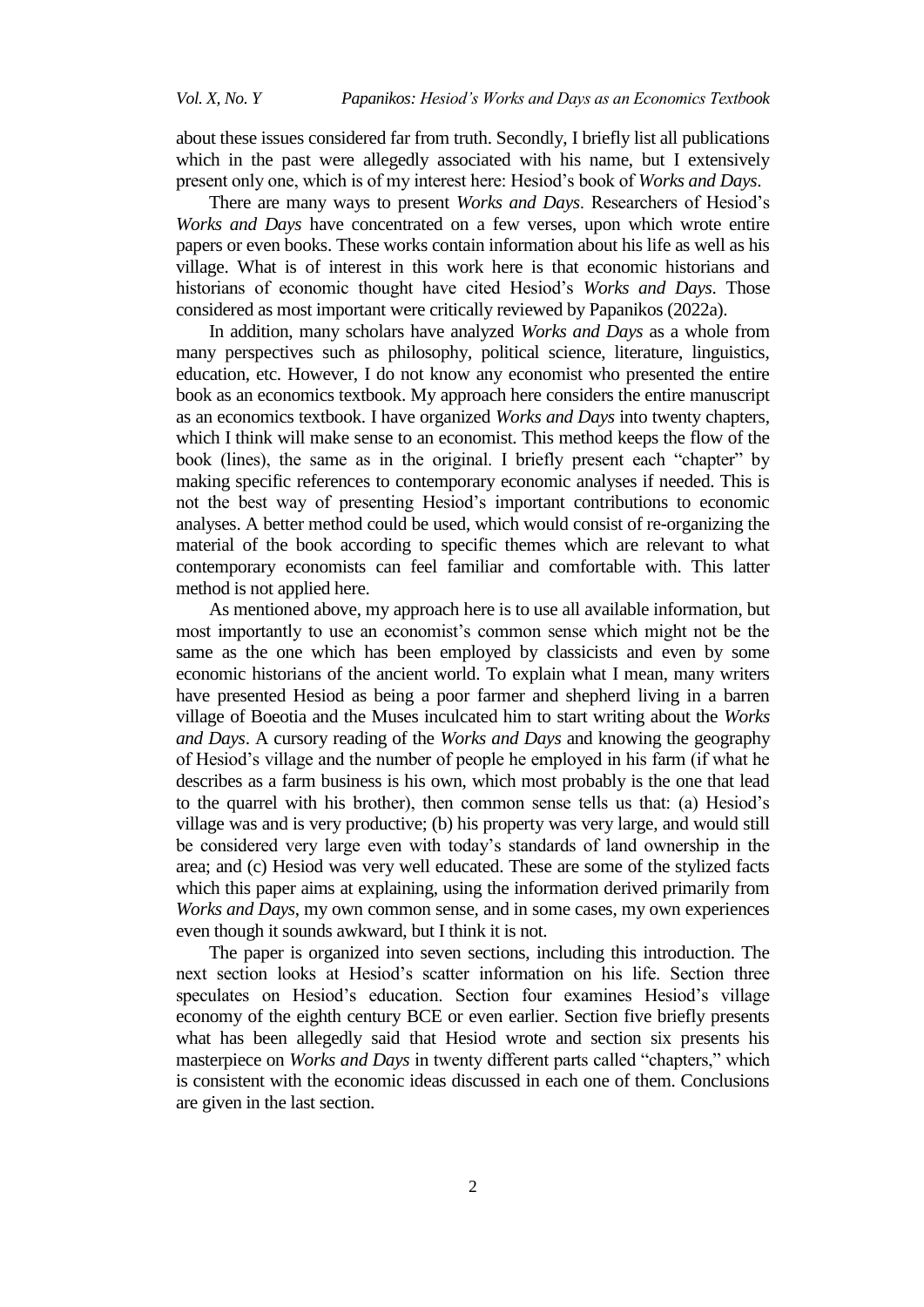about these issues considered far from truth. Secondly, I briefly list all publications which in the past were allegedly associated with his name, but I extensively present only one, which is of my interest here: Hesiod's book of *Works and Days*.

There are many ways to present *Works and Days*. Researchers of Hesiod's *Works and Days* have concentrated on a few verses, upon which wrote entire papers or even books. These works contain information about his life as well as his village. What is of interest in this work here is that economic historians and historians of economic thought have cited Hesiod's *Works and Days*. Those considered as most important were critically reviewed by Papanikos (2022a).

In addition, many scholars have analyzed *Works and Days* as a whole from many perspectives such as philosophy, political science, literature, linguistics, education, etc. However, I do not know any economist who presented the entire book as an economics textbook. My approach here considers the entire manuscript as an economics textbook. I have organized *Works and Days* into twenty chapters, which I think will make sense to an economist. This method keeps the flow of the book (lines), the same as in the original. I briefly present each "chapter" by making specific references to contemporary economic analyses if needed. This is not the best way of presenting Hesiod's important contributions to economic analyses. A better method could be used, which would consist of re-organizing the material of the book according to specific themes which are relevant to what contemporary economists can feel familiar and comfortable with. This latter method is not applied here.

As mentioned above, my approach here is to use all available information, but most importantly to use an economist's common sense which might not be the same as the one which has been employed by classicists and even by some economic historians of the ancient world. To explain what I mean, many writers have presented Hesiod as being a poor farmer and shepherd living in a barren village of Boeotia and the Muses inculcated him to start writing about the *Works and Days*. A cursory reading of the *Works and Days* and knowing the geography of Hesiod's village and the number of people he employed in his farm (if what he describes as a farm business is his own, which most probably is the one that lead to the quarrel with his brother), then common sense tells us that: (a) Hesiod's village was and is very productive; (b) his property was very large, and would still be considered very large even with today's standards of land ownership in the area; and (c) Hesiod was very well educated. These are some of the stylized facts which this paper aims at explaining, using the information derived primarily from *Works and Days*, my own common sense, and in some cases, my own experiences even though it sounds awkward, but I think it is not.

The paper is organized into seven sections, including this introduction. The next section looks at Hesiod's scatter information on his life. Section three speculates on Hesiod's education. Section four examines Hesiod's village economy of the eighth century BCE or even earlier. Section five briefly presents what has been allegedly said that Hesiod wrote and section six presents his masterpiece on *Works and Days* in twenty different parts called "chapters," which is consistent with the economic ideas discussed in each one of them. Conclusions are given in the last section.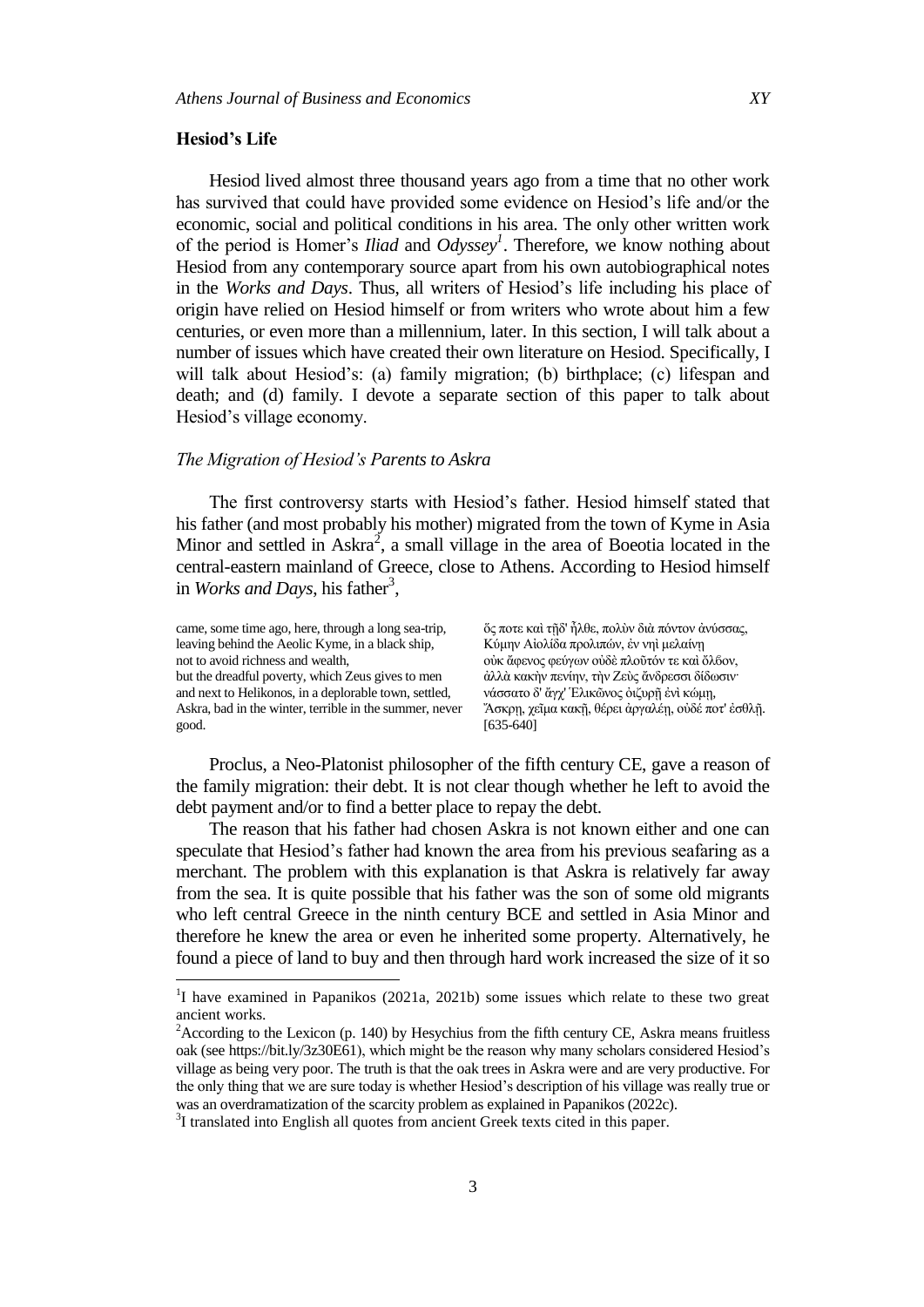#### **Hesiod's Life**

l

Hesiod lived almost three thousand years ago from a time that no other work has survived that could have provided some evidence on Hesiod's life and/or the economic, social and political conditions in his area. The only other written work of the period is Homer's *Iliad* and *Odyssey<sup>1</sup>* . Therefore, we know nothing about Hesiod from any contemporary source apart from his own autobiographical notes in the *Works and Days*. Thus, all writers of Hesiod's life including his place of origin have relied on Hesiod himself or from writers who wrote about him a few centuries, or even more than a millennium, later. In this section, I will talk about a number of issues which have created their own literature on Hesiod. Specifically, I will talk about Hesiod's: (a) family migration; (b) birthplace; (c) lifespan and death; and (d) family. I devote a separate section of this paper to talk about Hesiod's village economy.

# *The Migration of Hesiod's Parents to Askra*

The first controversy starts with Hesiod's father. Hesiod himself stated that his father (and most probably his mother) migrated from the town of Kyme in Asia Minor and settled in Askra<sup>2</sup>, a small village in the area of Boeotia located in the central-eastern mainland of Greece, close to Athens. According to Hesiod himself in *Works and Days*, his father<sup>3</sup>,

| came, some time ago, here, through a long sea-trip,     | ὄς ποτε καὶ τῆδ' ἦλθε, πολύν διὰ πόντον ἀνύσσας,    |
|---------------------------------------------------------|-----------------------------------------------------|
| leaving behind the Aeolic Kyme, in a black ship,        | Κύμην Αιολίδα προλιπών, έν νηι μελαίνη              |
| not to avoid richness and wealth,                       | ούκ άφενος φεύγων ούδε πλοῦτόν τε και ὄλβον,        |
| but the dreadful poverty, which Zeus gives to men       | άλλὰ κακὴν πενίην, τὴν Ζεὺς ἄνδρεσσι δίδωσιν·       |
| and next to Helikonos, in a deplorable town, settled,   | νάσσατο δ' ἄγχ' Έλικῶνος ὀιζυρῆ ἐνὶ κώμη,           |
| Askra, bad in the winter, terrible in the summer, never | "Άσκρη, χεῖμα κακῆ, θέρει ἀργαλέη, οὐδέ ποτ' ἐσθλῆ. |
| good.                                                   | $[635-640]$                                         |

Proclus, a Neo-Platonist philosopher of the fifth century CE, gave a reason of the family migration: their debt. It is not clear though whether he left to avoid the debt payment and/or to find a better place to repay the debt.

The reason that his father had chosen Askra is not known either and one can speculate that Hesiod's father had known the area from his previous seafaring as a merchant. The problem with this explanation is that Askra is relatively far away from the sea. It is quite possible that his father was the son of some old migrants who left central Greece in the ninth century BCE and settled in Asia Minor and therefore he knew the area or even he inherited some property. Alternatively, he found a piece of land to buy and then through hard work increased the size of it so

<sup>&</sup>lt;sup>1</sup>I have examined in Papanikos (2021a, 2021b) some issues which relate to these two great ancient works.

 $2$ According to the Lexicon (p. 140) by Hesychius from the fifth century CE, Askra means fruitless oak (se[e https://bit.ly/3z30E61\)](https://bit.ly/3z30E61), which might be the reason why many scholars considered Hesiod's village as being very poor. The truth is that the oak trees in Askra were and are very productive. For the only thing that we are sure today is whether Hesiod's description of his village was really true or was an overdramatization of the scarcity problem as explained in Papanikos (2022c).

<sup>&</sup>lt;sup>3</sup>I translated into English all quotes from ancient Greek texts cited in this paper.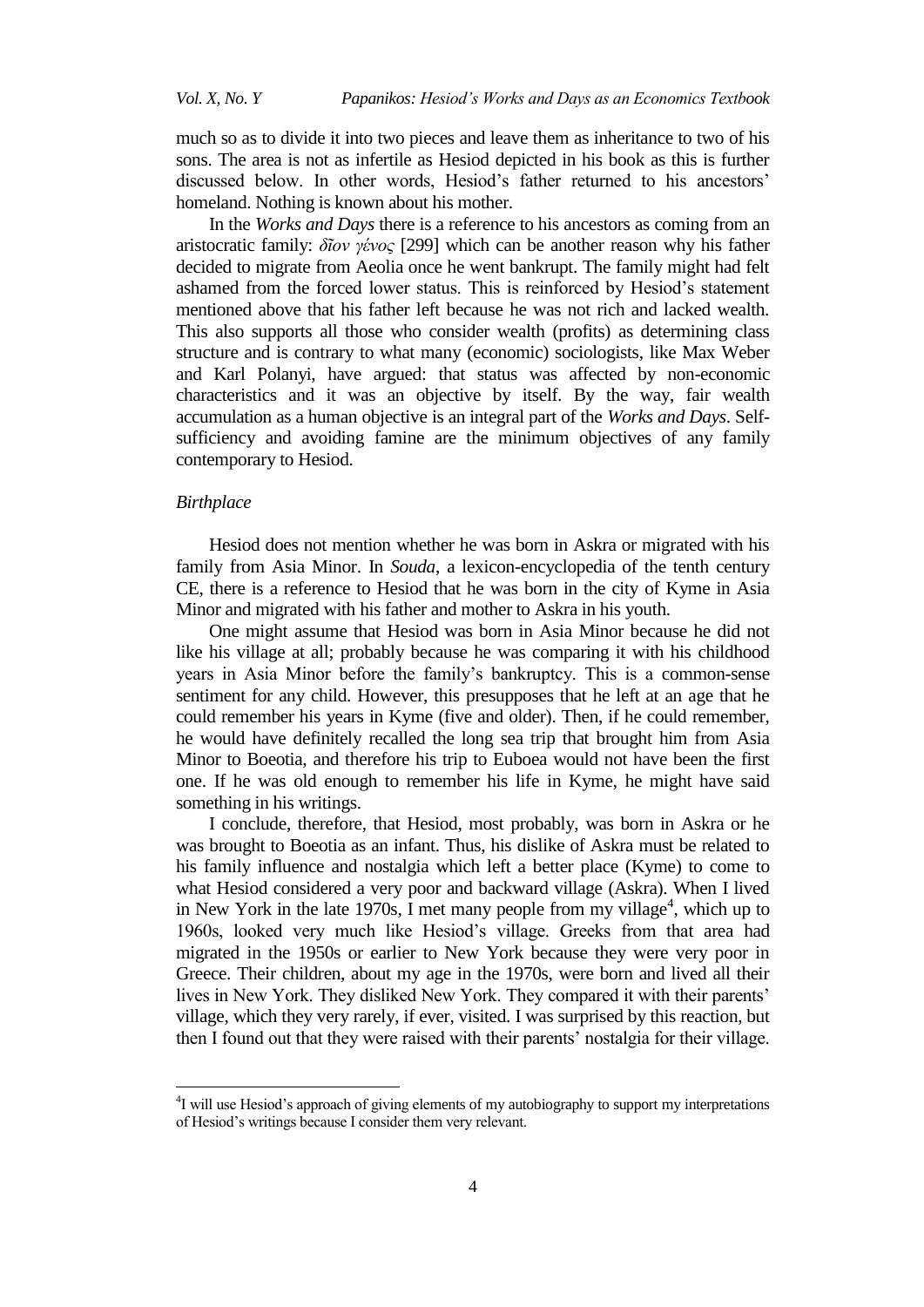much so as to divide it into two pieces and leave them as inheritance to two of his sons. The area is not as infertile as Hesiod depicted in his book as this is further discussed below. In other words, Hesiod's father returned to his ancestors' homeland. Nothing is known about his mother.

In the *Works and Days* there is a reference to his ancestors as coming from an aristocratic family: *δῖον γένορ* [299] which can be another reason why his father decided to migrate from Aeolia once he went bankrupt. The family might had felt ashamed from the forced lower status. This is reinforced by Hesiod's statement mentioned above that his father left because he was not rich and lacked wealth. This also supports all those who consider wealth (profits) as determining class structure and is contrary to what many (economic) sociologists, like Max Weber and Karl Polanyi, have argued: that status was affected by non-economic characteristics and it was an objective by itself. By the way, fair wealth accumulation as a human objective is an integral part of the *Works and Days*. Selfsufficiency and avoiding famine are the minimum objectives of any family contemporary to Hesiod.

### *Birthplace*

 $\overline{a}$ 

Hesiod does not mention whether he was born in Askra or migrated with his family from Asia Minor. In *Souda*, a lexicon-encyclopedia of the tenth century CE, there is a reference to Hesiod that he was born in the city of Kyme in Asia Minor and migrated with his father and mother to Askra in his youth.

One might assume that Hesiod was born in Asia Minor because he did not like his village at all; probably because he was comparing it with his childhood years in Asia Minor before the family's bankruptcy. This is a common-sense sentiment for any child. However, this presupposes that he left at an age that he could remember his years in Kyme (five and older). Then, if he could remember, he would have definitely recalled the long sea trip that brought him from Asia Minor to Boeotia, and therefore his trip to Euboea would not have been the first one. If he was old enough to remember his life in Kyme, he might have said something in his writings.

I conclude, therefore, that Hesiod, most probably, was born in Askra or he was brought to Boeotia as an infant. Thus, his dislike of Askra must be related to his family influence and nostalgia which left a better place (Kyme) to come to what Hesiod considered a very poor and backward village (Askra). When I lived in New York in the late 1970s, I met many people from my village<sup>4</sup>, which up to 1960s, looked very much like Hesiod's village. Greeks from that area had migrated in the 1950s or earlier to New York because they were very poor in Greece. Their children, about my age in the 1970s, were born and lived all their lives in New York. They disliked New York. They compared it with their parents' village, which they very rarely, if ever, visited. I was surprised by this reaction, but then I found out that they were raised with their parents' nostalgia for their village.

<sup>&</sup>lt;sup>4</sup>I will use Hesiod's approach of giving elements of my autobiography to support my interpretations of Hesiod's writings because I consider them very relevant.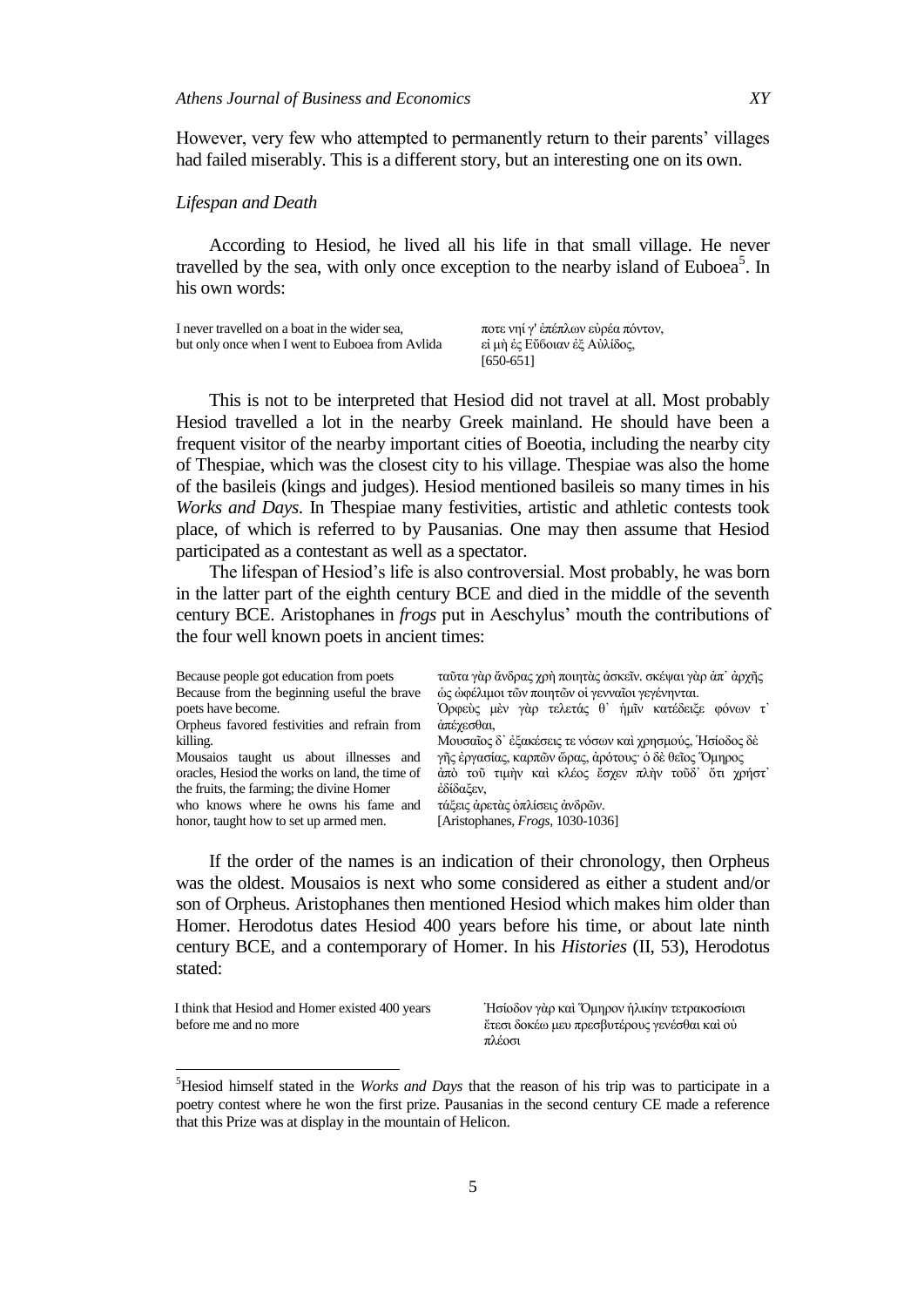However, very few who attempted to permanently return to their parents' villages had failed miserably. This is a different story, but an interesting one on its own.

#### *Lifespan and Death*

According to Hesiod, he lived all his life in that small village. He never travelled by the sea, with only once exception to the nearby island of Euboea<sup>5</sup>. In his own words:

| I never travelled on a boat in the wider sea.   | ποτε νηί γ' ἐπέπλων εὐρέα πόντον, |
|-------------------------------------------------|-----------------------------------|
| but only once when I went to Euboea from Avlida | εἰ μὴ ἐς Εὔ6οιαν ἐξ Αὐλίδος,      |
|                                                 | $[650-651]$                       |

This is not to be interpreted that Hesiod did not travel at all. Most probably Hesiod travelled a lot in the nearby Greek mainland. He should have been a frequent visitor of the nearby important cities of Boeotia, including the nearby city of Thespiae, which was the closest city to his village. Thespiae was also the home of the basileis (kings and judges). Hesiod mentioned basileis so many times in his *Works and Days*. In Thespiae many festivities, artistic and athletic contests took place, of which is referred to by Pausanias. One may then assume that Hesiod participated as a contestant as well as a spectator.

The lifespan of Hesiod's life is also controversial. Most probably, he was born in the latter part of the eighth century BCE and died in the middle of the seventh century BCE. Aristophanes in *frogs* put in Aeschylus' mouth the contributions of the four well known poets in ancient times:

| Because people got education from poets        | ταῦτα γὰρ ἄνδρας χρή ποιητὰς ἀσκεῖν. σκέψαι γὰρ ἀπ' ἀρχῆς |
|------------------------------------------------|-----------------------------------------------------------|
| Because from the beginning useful the brave    | ώς ώφέλιμοι τῶν ποιητῶν οἱ γενναῖοι γεγένηνται.           |
| poets have become.                             | Όρφεύς μὲν γὰρ τελετάς θ' ἡμῖν κατέδειξε φόνων τ'         |
| Orpheus favored festivities and refrain from   | άπέγεσθαι,                                                |
| killing.                                       | Μουσαΐος δ' έξακέσεις τε νόσων και χρησμούς, Ήσίοδος δε   |
| Mousaios taught us about illnesses and         | γῆς ἐργασίας, καρπῶν ὥρας, ἀρότους· ὁ δὲ θεῖος Όμηρος     |
| oracles, Hesiod the works on land, the time of | άπὸ τοῦ τιμὴν καὶ κλέος ἔσχεν πλὴν τοῦδ' ὅτι χρήστ'       |
| the fruits, the farming; the divine Homer      | έδίδαξεν,                                                 |
| who knows where he owns his fame and           | τάξεις άρετὰς ὁπλίσεις ἀνδρῶν.                            |
| honor, taught how to set up armed men.         | [Aristophanes, $Frogs$ , 1030-1036]                       |
|                                                |                                                           |

If the order of the names is an indication of their chronology, then Orpheus was the oldest. Mousaios is next who some considered as either a student and/or son of Orpheus. Aristophanes then mentioned Hesiod which makes him older than Homer. Herodotus dates Hesiod 400 years before his time, or about late ninth century BCE, and a contemporary of Homer. In his *Histories* (II, 53), Herodotus stated:

 I think that Hesiod and Homer existed 400 years before me and no more

 $\overline{\phantom{a}}$ 

Ήσίοδον γὰρ καὶ Όμηρον ἡλικίην τετρακοσίοισι έτεσι δοκέω μευ πρεσβυτέρους γενέσθαι καὶ οὐ πλέοσι

<sup>5</sup>Hesiod himself stated in the *Works and Days* that the reason of his trip was to participate in a poetry contest where he won the first prize. Pausanias in the second century CE made a reference that this Prize was at display in the mountain of Helicon.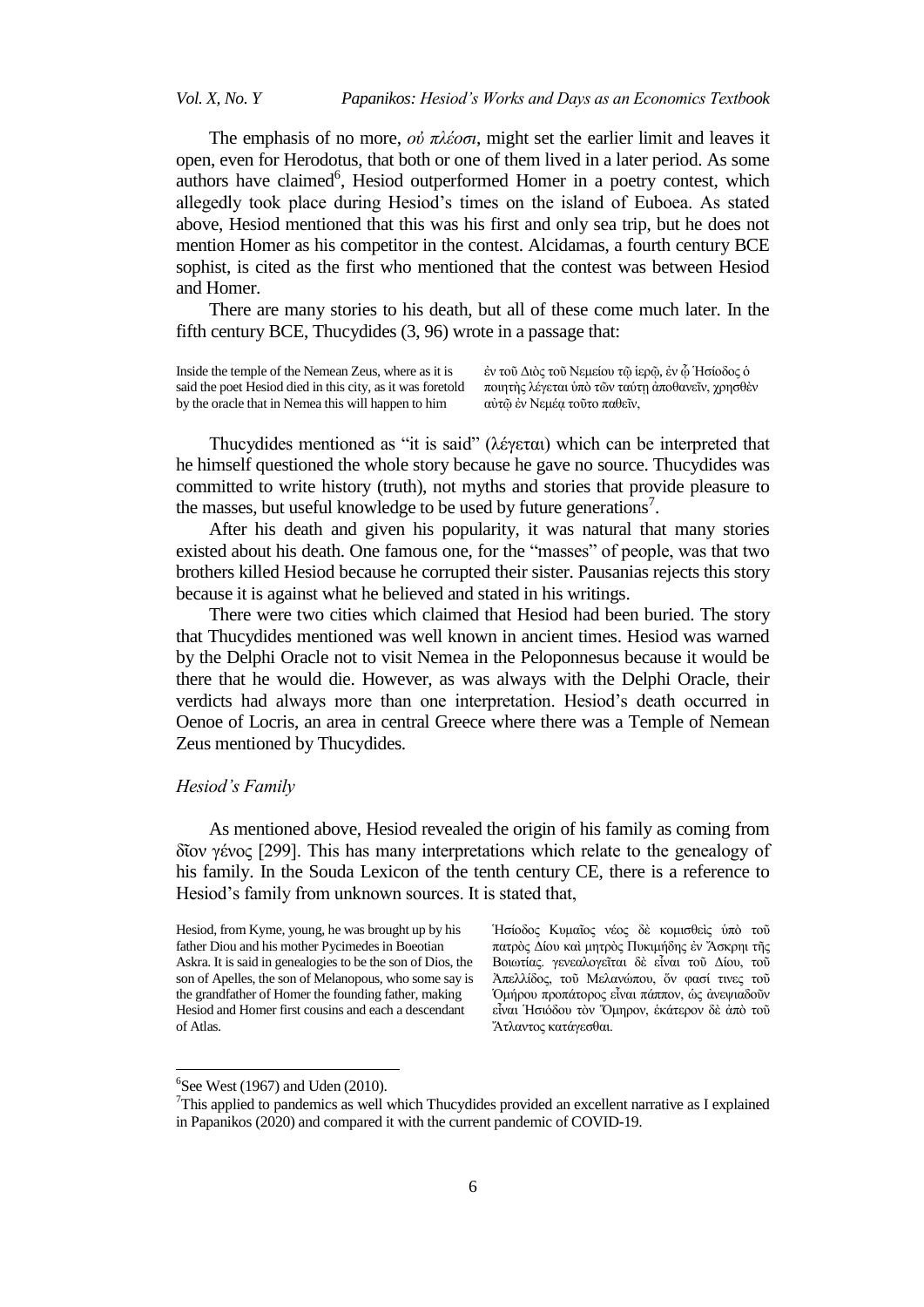The emphasis of no more, *οὐ πλέοζι*, might set the earlier limit and leaves it open, even for Herodotus, that both or one of them lived in a later period. As some  $a$ uthors have claimed<sup>6</sup>, Hesiod outperformed Homer in a poetry contest, which allegedly took place during Hesiod's times on the island of Euboea. As stated above, Hesiod mentioned that this was his first and only sea trip, but he does not mention Homer as his competitor in the contest. Alcidamas, a fourth century BCE sophist, is cited as the first who mentioned that the contest was between Hesiod and Homer.

There are many stories to his death, but all of these come much later. In the fifth century BCE, Thucydides (3, 96) wrote in a passage that:

Inside the temple of the Nemean Zeus, where as it is said the poet Hesiod died in this city, as it was foretold by the oracle that in Nemea this will happen to him

έν τοῦ Διὸς τοῦ Νεμείου τῶ ἱερῶ, ἐν ὦ Ἡσίοδος ὁ ποιητής λέγεται ύπό τῶν ταύτη ἀποθανεῖν, χρησθεν αύτῷ ἐν Νεμέα τοῦτο παθεῖν,

Thucydides mentioned as "it is said" (λέγεται) which can be interpreted that he himself questioned the whole story because he gave no source. Thucydides was committed to write history (truth), not myths and stories that provide pleasure to the masses, but useful knowledge to be used by future generations<sup>7</sup>.

After his death and given his popularity, it was natural that many stories existed about his death. One famous one, for the "masses" of people, was that two brothers killed Hesiod because he corrupted their sister. Pausanias rejects this story because it is against what he believed and stated in his writings.

There were two cities which claimed that Hesiod had been buried. The story that Thucydides mentioned was well known in ancient times. Hesiod was warned by the Delphi Oracle not to visit Nemea in the Peloponnesus because it would be there that he would die. However, as was always with the Delphi Oracle, their verdicts had always more than one interpretation. Hesiod's death occurred in Oenoe of Locris, an area in central Greece where there was a Temple of Nemean Zeus mentioned by Thucydides.

### *Hesiod's Family*

As mentioned above, Hesiod revealed the origin of his family as coming from δῖνλ γέλνο [299]. This has many interpretations which relate to the genealogy of his family. In the Souda Lexicon of the tenth century CE, there is a reference to Hesiod's family from unknown sources. It is stated that,

Ήσίοδος Κυμαΐος νέος δε κομισθείς ύπο τού πατρὸς Δίου καὶ μητρὸς Πυκιμήδης ἐν Άσκρηι τῆς Βοιωτίας. γενεαλογεῖται δὲ εἶναι τοῦ Δίου, τοῦ Άπελλίδος, τοῦ Μελανώπου, ὄν φασί τινες τοῦ Όμήρου προπάτορος εἶναι πάππον, ὡς ἀνεψιαδοῦν εἶναι Ήσιόδου τον Όμηρον, εκάτερον δε άπο του Άτλαντος κατάγεσθαι.

 $\overline{\phantom{a}}$ 

Hesiod, from Kyme, young, he was brought up by his father Diou and his mother Pycimedes in Boeotian Askra. It is said in genealogies to be the son of Dios, the son of Apelles, the son of Melanopous, who some say is the grandfather of Homer the founding father, making Hesiod and Homer first cousins and each a descendant of Atlas.

 ${}^{6}$ See West (1967) and Uden (2010).

 $7$ This applied to pandemics as well which Thucydides provided an excellent narrative as I explained in Papanikos (2020) and compared it with the current pandemic of COVID-19.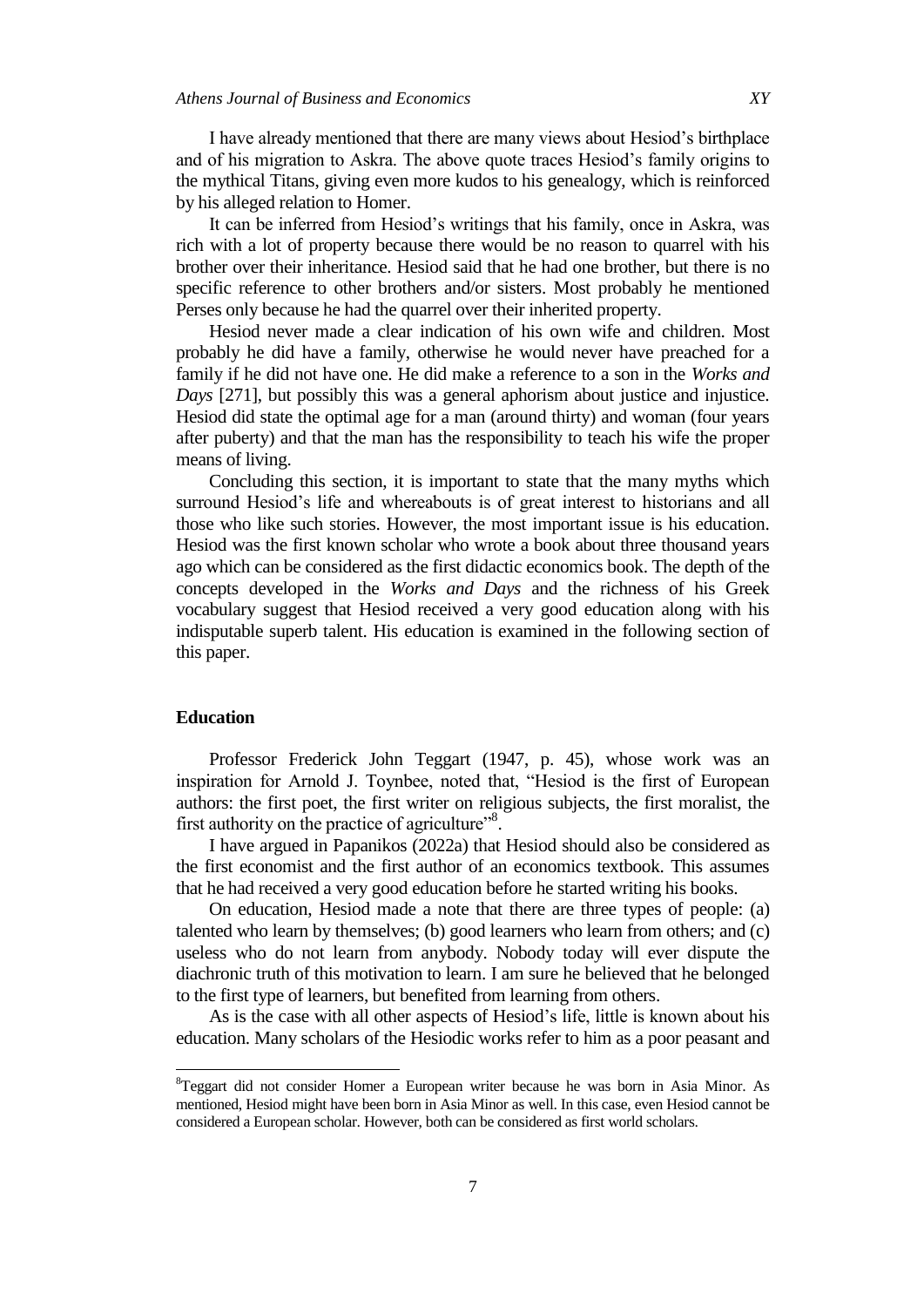I have already mentioned that there are many views about Hesiod's birthplace and of his migration to Askra. The above quote traces Hesiod's family origins to the mythical Titans, giving even more kudos to his genealogy, which is reinforced by his alleged relation to Homer.

It can be inferred from Hesiod's writings that his family, once in Askra, was rich with a lot of property because there would be no reason to quarrel with his brother over their inheritance. Hesiod said that he had one brother, but there is no specific reference to other brothers and/or sisters. Most probably he mentioned Perses only because he had the quarrel over their inherited property.

Hesiod never made a clear indication of his own wife and children. Most probably he did have a family, otherwise he would never have preached for a family if he did not have one. He did make a reference to a son in the *Works and Days* [271], but possibly this was a general aphorism about justice and injustice. Hesiod did state the optimal age for a man (around thirty) and woman (four years after puberty) and that the man has the responsibility to teach his wife the proper means of living.

Concluding this section, it is important to state that the many myths which surround Hesiod's life and whereabouts is of great interest to historians and all those who like such stories. However, the most important issue is his education. Hesiod was the first known scholar who wrote a book about three thousand years ago which can be considered as the first didactic economics book. The depth of the concepts developed in the *Works and Days* and the richness of his Greek vocabulary suggest that Hesiod received a very good education along with his indisputable superb talent. His education is examined in the following section of this paper.

# **Education**

 $\overline{\phantom{a}}$ 

Professor Frederick John Teggart (1947, p. 45), whose work was an inspiration for Arnold J. Toynbee, noted that, "Hesiod is the first of European authors: the first poet, the first writer on religious subjects, the first moralist, the first authority on the practice of agriculture".

I have argued in Papanikos (2022a) that Hesiod should also be considered as the first economist and the first author of an economics textbook. This assumes that he had received a very good education before he started writing his books.

On education, Hesiod made a note that there are three types of people: (a) talented who learn by themselves; (b) good learners who learn from others; and (c) useless who do not learn from anybody. Nobody today will ever dispute the diachronic truth of this motivation to learn. I am sure he believed that he belonged to the first type of learners, but benefited from learning from others.

As is the case with all other aspects of Hesiod's life, little is known about his education. Many scholars of the Hesiodic works refer to him as a poor peasant and

<sup>8</sup>Teggart did not consider Homer a European writer because he was born in Asia Minor. As mentioned, Hesiod might have been born in Asia Minor as well. In this case, even Hesiod cannot be considered a European scholar. However, both can be considered as first world scholars.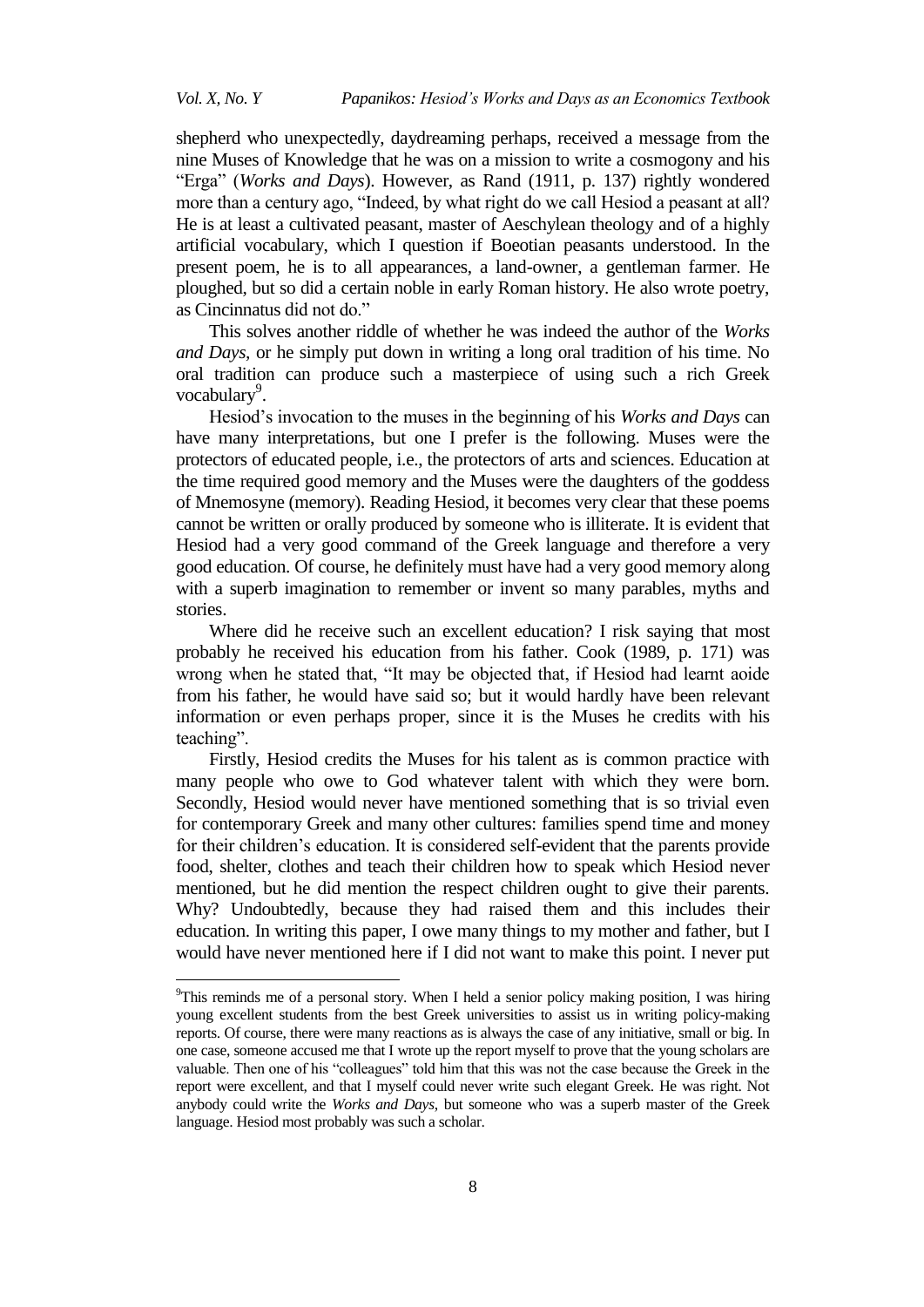shepherd who unexpectedly, daydreaming perhaps, received a message from the nine Muses of Knowledge that he was on a mission to write a cosmogony and his ―Erga‖ (*Works and Days*). However, as Rand (1911, p. 137) rightly wondered more than a century ago, "Indeed, by what right do we call Hesiod a peasant at all? He is at least a cultivated peasant, master of Aeschylean theology and of a highly artificial vocabulary, which I question if Boeotian peasants understood. In the present poem, he is to all appearances, a land-owner, a gentleman farmer. He ploughed, but so did a certain noble in early Roman history. He also wrote poetry, as Cincinnatus did not do."

This solves another riddle of whether he was indeed the author of the *Works and Days,* or he simply put down in writing a long oral tradition of his time. No oral tradition can produce such a masterpiece of using such a rich Greek vocabulary<sup>9</sup>.

Hesiod's invocation to the muses in the beginning of his *Works and Days* can have many interpretations, but one I prefer is the following. Muses were the protectors of educated people, i.e., the protectors of arts and sciences. Education at the time required good memory and the Muses were the daughters of the goddess of Mnemosyne (memory). Reading Hesiod, it becomes very clear that these poems cannot be written or orally produced by someone who is illiterate. It is evident that Hesiod had a very good command of the Greek language and therefore a very good education. Of course, he definitely must have had a very good memory along with a superb imagination to remember or invent so many parables, myths and stories.

Where did he receive such an excellent education? I risk saying that most probably he received his education from his father. Cook (1989, p. 171) was wrong when he stated that, "It may be objected that, if Hesiod had learnt aoide from his father, he would have said so; but it would hardly have been relevant information or even perhaps proper, since it is the Muses he credits with his teaching".

Firstly, Hesiod credits the Muses for his talent as is common practice with many people who owe to God whatever talent with which they were born. Secondly, Hesiod would never have mentioned something that is so trivial even for contemporary Greek and many other cultures: families spend time and money for their children's education. It is considered self-evident that the parents provide food, shelter, clothes and teach their children how to speak which Hesiod never mentioned, but he did mention the respect children ought to give their parents. Why? Undoubtedly, because they had raised them and this includes their education. In writing this paper, I owe many things to my mother and father, but I would have never mentioned here if I did not want to make this point. I never put

l

<sup>9</sup>This reminds me of a personal story. When I held a senior policy making position, I was hiring young excellent students from the best Greek universities to assist us in writing policy-making reports. Of course, there were many reactions as is always the case of any initiative, small or big. In one case, someone accused me that I wrote up the report myself to prove that the young scholars are valuable. Then one of his "colleagues" told him that this was not the case because the Greek in the report were excellent, and that I myself could never write such elegant Greek. He was right. Not anybody could write the *Works and Days*, but someone who was a superb master of the Greek language. Hesiod most probably was such a scholar.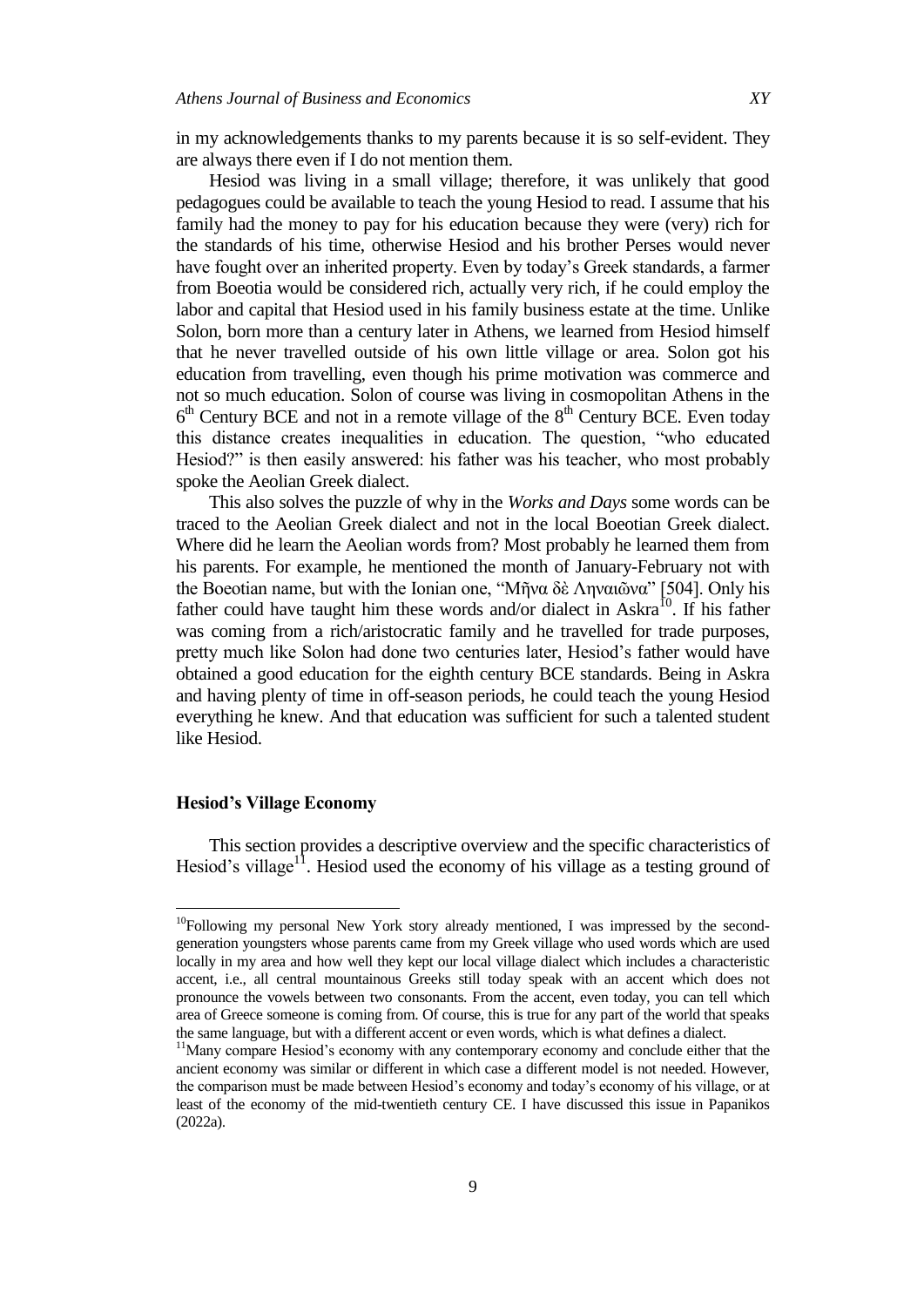in my acknowledgements thanks to my parents because it is so self-evident. They are always there even if I do not mention them.

Hesiod was living in a small village; therefore, it was unlikely that good pedagogues could be available to teach the young Hesiod to read. I assume that his family had the money to pay for his education because they were (very) rich for the standards of his time, otherwise Hesiod and his brother Perses would never have fought over an inherited property. Even by today's Greek standards, a farmer from Boeotia would be considered rich, actually very rich, if he could employ the labor and capital that Hesiod used in his family business estate at the time. Unlike Solon, born more than a century later in Athens, we learned from Hesiod himself that he never travelled outside of his own little village or area. Solon got his education from travelling, even though his prime motivation was commerce and not so much education. Solon of course was living in cosmopolitan Athens in the 6<sup>th</sup> Century BCE and not in a remote village of the 8<sup>th</sup> Century BCE. Even today this distance creates inequalities in education. The question, "who educated Hesiod?" is then easily answered: his father was his teacher, who most probably spoke the Aeolian Greek dialect.

This also solves the puzzle of why in the *Works and Days* some words can be traced to the Aeolian Greek dialect and not in the local Boeotian Greek dialect. Where did he learn the Aeolian words from? Most probably he learned them from his parents. For example, he mentioned the month of January-February not with the Boeotian name, but with the Ionian one, "Μῆνα δὲ Ληναιῶνα" [504]. Only his father could have taught him these words and/or dialect in Askra<sup>10</sup>. If his father was coming from a rich/aristocratic family and he travelled for trade purposes, pretty much like Solon had done two centuries later, Hesiod's father would have obtained a good education for the eighth century BCE standards. Being in Askra and having plenty of time in off-season periods, he could teach the young Hesiod everything he knew. And that education was sufficient for such a talented student like Hesiod.

### **Hesiod's Village Economy**

 $\overline{\phantom{a}}$ 

This section provides a descriptive overview and the specific characteristics of Hesiod's village<sup>11</sup>. Hesiod used the economy of his village as a testing ground of

 $10F$ ollowing my personal New York story already mentioned, I was impressed by the secondgeneration youngsters whose parents came from my Greek village who used words which are used locally in my area and how well they kept our local village dialect which includes a characteristic accent, i.e., all central mountainous Greeks still today speak with an accent which does not pronounce the vowels between two consonants. From the accent, even today, you can tell which area of Greece someone is coming from. Of course, this is true for any part of the world that speaks the same language, but with a different accent or even words, which is what defines a dialect.

<sup>&</sup>lt;sup>11</sup>Many compare Hesiod's economy with any contemporary economy and conclude either that the ancient economy was similar or different in which case a different model is not needed. However, the comparison must be made between Hesiod's economy and today's economy of his village, or at least of the economy of the mid-twentieth century CE. I have discussed this issue in Papanikos (2022a).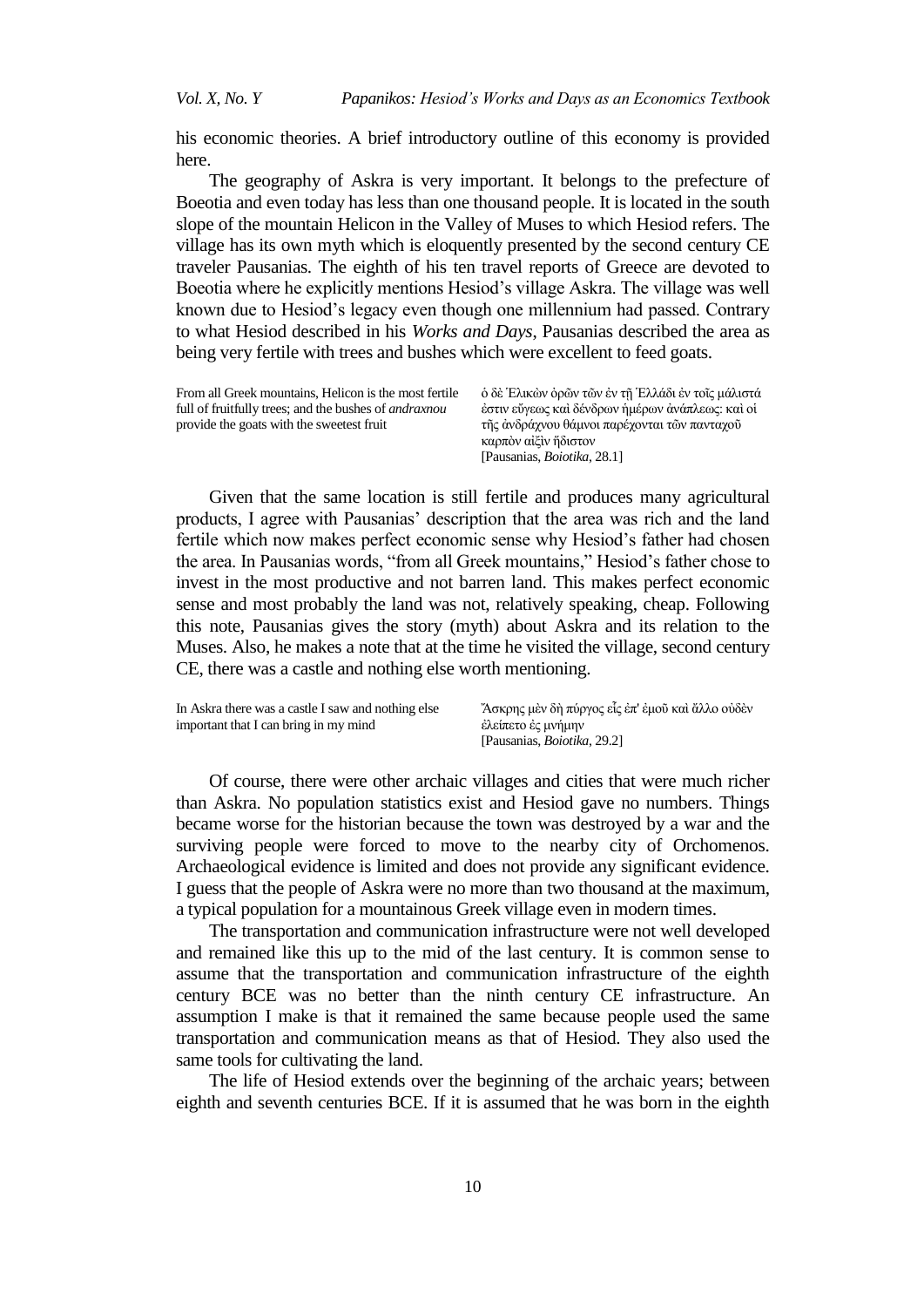his economic theories. A brief introductory outline of this economy is provided here.

The geography of Askra is very important. It belongs to the prefecture of Boeotia and even today has less than one thousand people. It is located in the south slope of the mountain Helicon in the Valley of Muses to which Hesiod refers. The village has its own myth which is eloquently presented by the second century CE traveler Pausanias. The eighth of his ten travel reports of Greece are devoted to Boeotia where he explicitly mentions Hesiod's village Askra. The village was well known due to Hesiod's legacy even though one millennium had passed. Contrary to what Hesiod described in his *Works and Days*, Pausanias described the area as being very fertile with trees and bushes which were excellent to feed goats.

| From all Greek mountains, Helicon is the most fertile        | ο δὲ Έλικὼν ὀρῶν τῶν ἐν τῆ Ἑλλάδι ἐν τοῖς μάλιστά |
|--------------------------------------------------------------|---------------------------------------------------|
| full of fruitfully trees; and the bushes of <i>andraxnou</i> | έστιν εύγεως καὶ δένδρων ἡμέρων ἀνάπλεως: καὶ οἱ  |
| provide the goats with the sweetest fruit                    | τῆς ἀνδράχνου θάμνοι παρέχονται τῶν πανταχοῦ      |
|                                                              | καρπὸν αἰξὶν ἥδιστον                              |
|                                                              | [Pausanias, <i>Boiotika</i> , 28.1]               |

Given that the same location is still fertile and produces many agricultural products, I agree with Pausanias' description that the area was rich and the land fertile which now makes perfect economic sense why Hesiod's father had chosen the area. In Pausanias words, "from all Greek mountains," Hesiod's father chose to invest in the most productive and not barren land. This makes perfect economic sense and most probably the land was not, relatively speaking, cheap. Following this note, Pausanias gives the story (myth) about Askra and its relation to the Muses. Also, he makes a note that at the time he visited the village, second century CE, there was a castle and nothing else worth mentioning.

| In Askra there was a castle I saw and nothing else | Άσκρης μεν δη πύργος είς έπ' έμου και άλλο ούδεν |
|----------------------------------------------------|--------------------------------------------------|
| important that I can bring in my mind              | έλείπετο ές μνήμην                               |
|                                                    | [Pausanias, <i>Boiotika</i> , 29.2]              |

Of course, there were other archaic villages and cities that were much richer than Askra. No population statistics exist and Hesiod gave no numbers. Things became worse for the historian because the town was destroyed by a war and the surviving people were forced to move to the nearby city of Orchomenos. Archaeological evidence is limited and does not provide any significant evidence. I guess that the people of Askra were no more than two thousand at the maximum, a typical population for a mountainous Greek village even in modern times.

The transportation and communication infrastructure were not well developed and remained like this up to the mid of the last century. It is common sense to assume that the transportation and communication infrastructure of the eighth century BCE was no better than the ninth century CE infrastructure. An assumption I make is that it remained the same because people used the same transportation and communication means as that of Hesiod. They also used the same tools for cultivating the land.

The life of Hesiod extends over the beginning of the archaic years; between eighth and seventh centuries BCE. If it is assumed that he was born in the eighth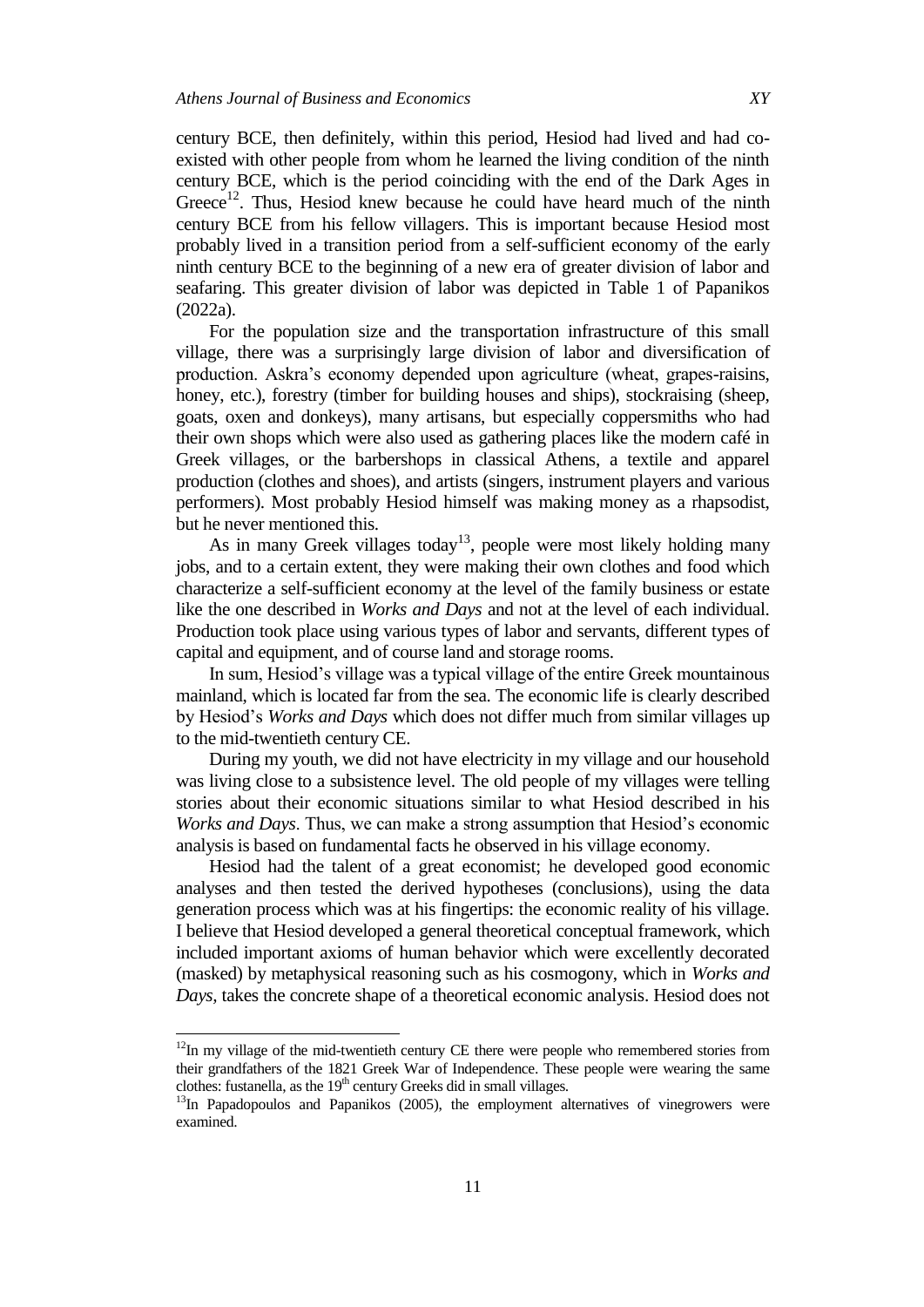century BCE, then definitely, within this period, Hesiod had lived and had coexisted with other people from whom he learned the living condition of the ninth century BCE, which is the period coinciding with the end of the Dark Ages in Greece<sup>12</sup>. Thus, Hesiod knew because he could have heard much of the ninth century BCE from his fellow villagers. This is important because Hesiod most probably lived in a transition period from a self-sufficient economy of the early ninth century BCE to the beginning of a new era of greater division of labor and seafaring. This greater division of labor was depicted in Table 1 of Papanikos (2022a).

For the population size and the transportation infrastructure of this small village, there was a surprisingly large division of labor and diversification of production. Askra's economy depended upon agriculture (wheat, grapes-raisins, honey, etc.), forestry (timber for building houses and ships), stockraising (sheep, goats, oxen and donkeys), many artisans, but especially coppersmiths who had their own shops which were also used as gathering places like the modern café in Greek villages, or the barbershops in classical Athens, a textile and apparel production (clothes and shoes), and artists (singers, instrument players and various performers). Most probably Hesiod himself was making money as a rhapsodist, but he never mentioned this.

As in many Greek villages today<sup>13</sup>, people were most likely holding many jobs, and to a certain extent, they were making their own clothes and food which characterize a self-sufficient economy at the level of the family business or estate like the one described in *Works and Days* and not at the level of each individual. Production took place using various types of labor and servants, different types of capital and equipment, and of course land and storage rooms.

In sum, Hesiod's village was a typical village of the entire Greek mountainous mainland, which is located far from the sea. The economic life is clearly described by Hesiod's *Works and Days* which does not differ much from similar villages up to the mid-twentieth century CE.

During my youth, we did not have electricity in my village and our household was living close to a subsistence level. The old people of my villages were telling stories about their economic situations similar to what Hesiod described in his *Works and Days*. Thus, we can make a strong assumption that Hesiod's economic analysis is based on fundamental facts he observed in his village economy.

Hesiod had the talent of a great economist; he developed good economic analyses and then tested the derived hypotheses (conclusions), using the data generation process which was at his fingertips: the economic reality of his village. I believe that Hesiod developed a general theoretical conceptual framework, which included important axioms of human behavior which were excellently decorated (masked) by metaphysical reasoning such as his cosmogony, which in *Works and Days,* takes the concrete shape of a theoretical economic analysis. Hesiod does not

l

 $12$ In my village of the mid-twentieth century CE there were people who remembered stories from their grandfathers of the 1821 Greek War of Independence. These people were wearing the same clothes: fustanella, as the  $19<sup>th</sup>$  century Greeks did in small villages.

<sup>&</sup>lt;sup>13</sup>In Papadopoulos and Papanikos (2005), the employment alternatives of vinegrowers were examined.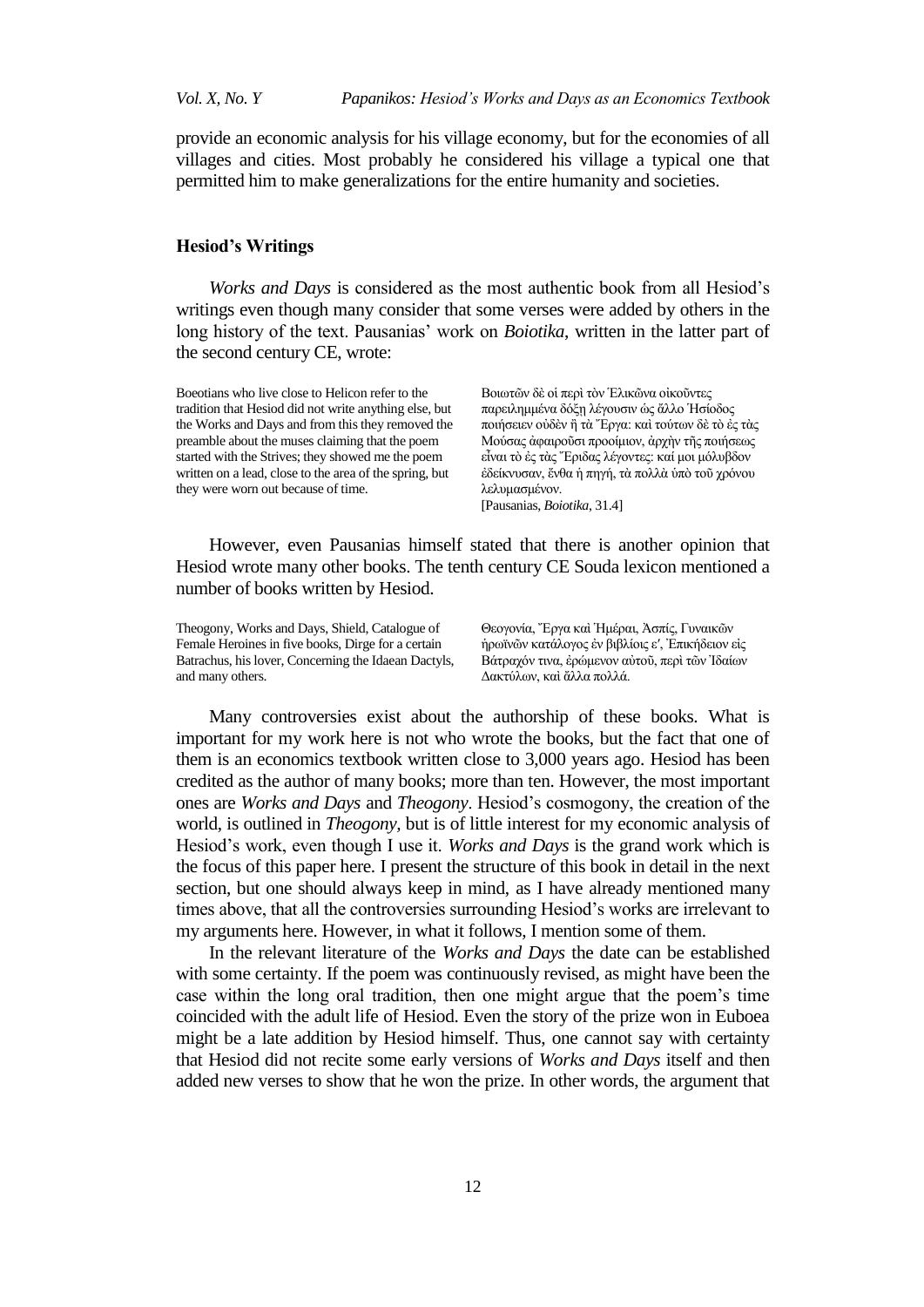provide an economic analysis for his village economy, but for the economies of all villages and cities. Most probably he considered his village a typical one that permitted him to make generalizations for the entire humanity and societies.

# **Hesiod's Writings**

*Works and Days* is considered as the most authentic book from all Hesiod's writings even though many consider that some verses were added by others in the long history of the text. Pausanias' work on *Boiotika*, written in the latter part of the second century CE, wrote:

Boeotians who live close to Helicon refer to the tradition that Hesiod did not write anything else, but the Works and Days and from this they removed the preamble about the muses claiming that the poem started with the Strives; they showed me the poem written on a lead, close to the area of the spring, but they were worn out because of time.

Βοιωτῶν δὲ οἱ περὶ τὸν Ἐλικῶνα οἰκοῦντες παρειλημμένα δόξη λέγουσιν ώς άλλο Ήσίοδος ποιήσειεν ούδεν ἢ τὰ Ἐργα: καὶ τούτων δε τὸ ἐς τὰς Μούσας άφαιρούσι προοίμιον, άρχην της ποιήσεως εἶναι τὸ ἐς τὰς Ἐριδας λέγοντες: καί μοι μόλυβδον έδείκνυσαν, ἔνθα ή πηγή, τὰ πολλὰ ὑπὸ τοῦ χρόνου λελυμασμένον [Pausanias, *Boiotika*, 31.4]

However, even Pausanias himself stated that there is another opinion that Hesiod wrote many other books. The tenth century CE Souda lexicon mentioned a number of books written by Hesiod.

Theogony, Works and Days, Shield, Catalogue of Female Heroines in five books, Dirge for a certain Batrachus, his lover, Concerning the Idaean Dactyls, and many others.

Θεογονία, Έργα καὶ Ήμέραι, Άσπίς, Γυναικῶν ήρωϊνῶν κατάλογος έν βιβλίοις ε', Έπικήδειον είς Βάτραχόν τινα, έρώμενον αύτοῦ, περὶ τῶν Ἰδαίων Δακτύλων, και άλλα πολλά.

Many controversies exist about the authorship of these books. What is important for my work here is not who wrote the books, but the fact that one of them is an economics textbook written close to 3,000 years ago. Hesiod has been credited as the author of many books; more than ten. However, the most important ones are *Works and Days* and *Theogony*. Hesiod's cosmogony, the creation of the world, is outlined in *Theogony,* but is of little interest for my economic analysis of Hesiod's work, even though I use it. *Works and Days* is the grand work which is the focus of this paper here. I present the structure of this book in detail in the next section, but one should always keep in mind, as I have already mentioned many times above, that all the controversies surrounding Hesiod's works are irrelevant to my arguments here. However, in what it follows, I mention some of them.

In the relevant literature of the *Works and Days* the date can be established with some certainty. If the poem was continuously revised, as might have been the case within the long oral tradition, then one might argue that the poem's time coincided with the adult life of Hesiod. Even the story of the prize won in Euboea might be a late addition by Hesiod himself. Thus, one cannot say with certainty that Hesiod did not recite some early versions of *Works and Days* itself and then added new verses to show that he won the prize. In other words, the argument that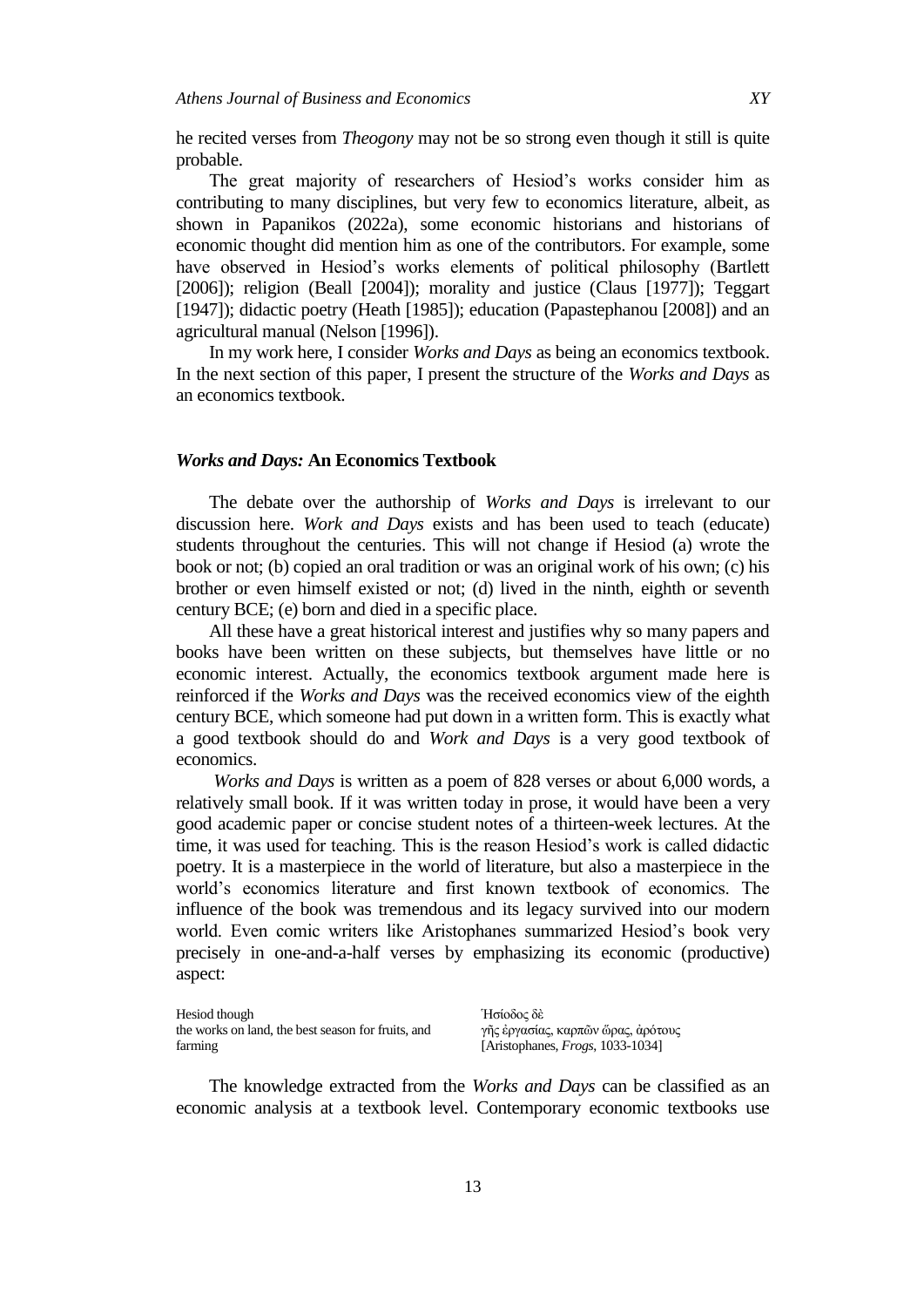he recited verses from *Theogony* may not be so strong even though it still is quite probable.

The great majority of researchers of Hesiod's works consider him as contributing to many disciplines, but very few to economics literature, albeit, as shown in Papanikos (2022a), some economic historians and historians of economic thought did mention him as one of the contributors. For example, some have observed in Hesiod's works elements of political philosophy (Bartlett [2006]); religion (Beall [2004]); morality and justice (Claus [1977]); Teggart [1947]); didactic poetry (Heath [1985]); education (Papastephanou [2008]) and an agricultural manual (Nelson [1996]).

In my work here, I consider *Works and Days* as being an economics textbook. In the next section of this paper, I present the structure of the *Works and Days* as an economics textbook.

#### *Works and Days:* **An Economics Textbook**

The debate over the authorship of *Works and Days* is irrelevant to our discussion here. *Work and Days* exists and has been used to teach (educate) students throughout the centuries. This will not change if Hesiod (a) wrote the book or not; (b) copied an oral tradition or was an original work of his own; (c) his brother or even himself existed or not; (d) lived in the ninth, eighth or seventh century BCE; (e) born and died in a specific place.

All these have a great historical interest and justifies why so many papers and books have been written on these subjects, but themselves have little or no economic interest. Actually, the economics textbook argument made here is reinforced if the *Works and Days* was the received economics view of the eighth century BCE, which someone had put down in a written form. This is exactly what a good textbook should do and *Work and Days* is a very good textbook of economics.

*Works and Days* is written as a poem of 828 verses or about 6,000 words, a relatively small book. If it was written today in prose, it would have been a very good academic paper or concise student notes of a thirteen-week lectures. At the time, it was used for teaching. This is the reason Hesiod's work is called didactic poetry. It is a masterpiece in the world of literature, but also a masterpiece in the world's economics literature and first known textbook of economics. The influence of the book was tremendous and its legacy survived into our modern world. Even comic writers like Aristophanes summarized Hesiod's book very precisely in one-and-a-half verses by emphasizing its economic (productive) aspect:

Hesiod though the works on land, the best season for fruits, and farming

Ήσίοδος δέ γῆς ἐργασίας, καρπῶν ὥρας, ἀρότους [Aristophanes, *Frogs*, 1033-1034]

The knowledge extracted from the *Works and Days* can be classified as an economic analysis at a textbook level. Contemporary economic textbooks use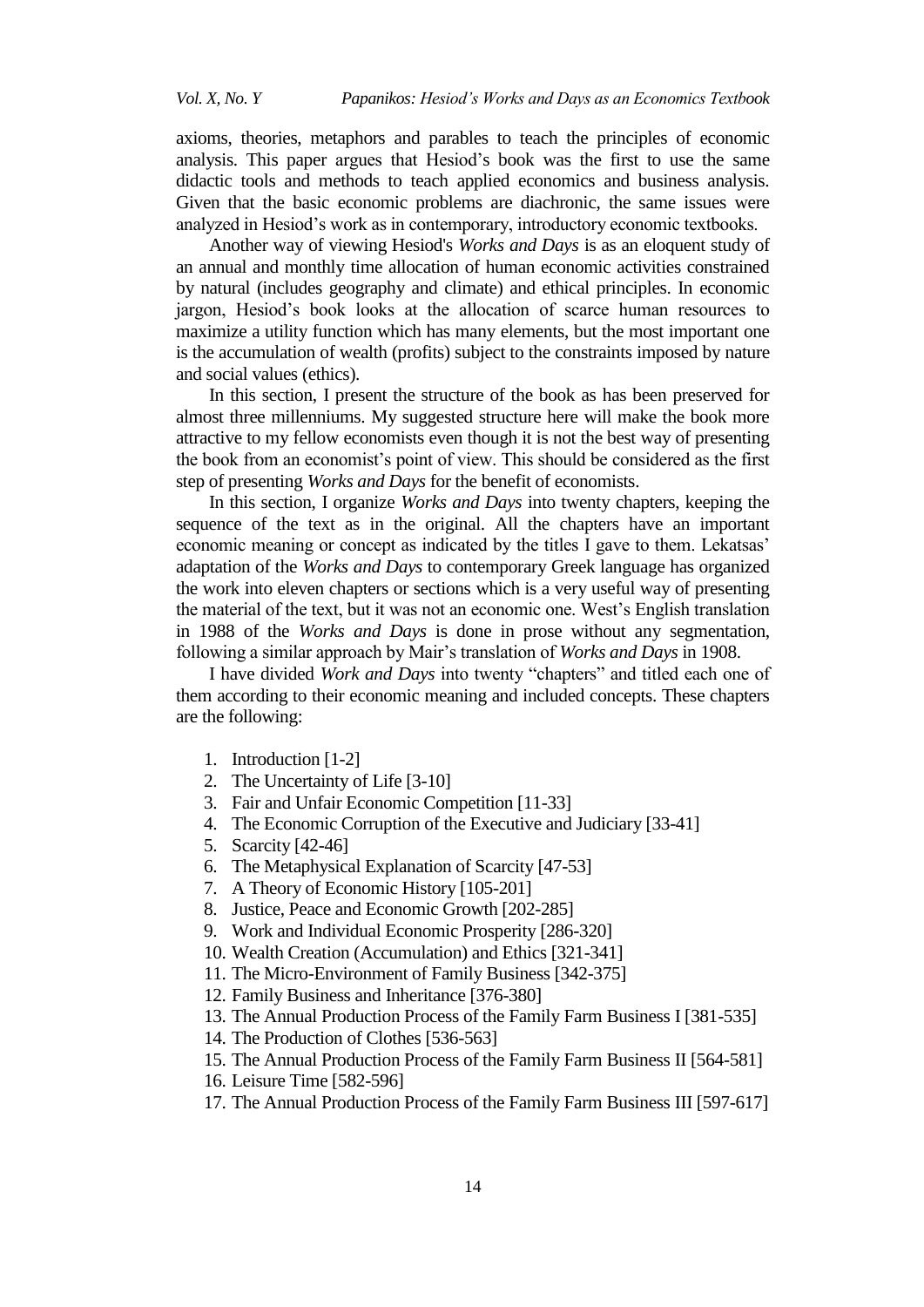axioms, theories, metaphors and parables to teach the principles of economic analysis. This paper argues that Hesiod's book was the first to use the same didactic tools and methods to teach applied economics and business analysis. Given that the basic economic problems are diachronic, the same issues were analyzed in Hesiod's work as in contemporary, introductory economic textbooks.

Another way of viewing Hesiod's *Works and Days* is as an eloquent study of an annual and monthly time allocation of human economic activities constrained by natural (includes geography and climate) and ethical principles. In economic jargon, Hesiod's book looks at the allocation of scarce human resources to maximize a utility function which has many elements, but the most important one is the accumulation of wealth (profits) subject to the constraints imposed by nature and social values (ethics).

In this section, I present the structure of the book as has been preserved for almost three millenniums. My suggested structure here will make the book more attractive to my fellow economists even though it is not the best way of presenting the book from an economist's point of view. This should be considered as the first step of presenting *Works and Days* for the benefit of economists.

In this section, I organize *Works and Days* into twenty chapters, keeping the sequence of the text as in the original. All the chapters have an important economic meaning or concept as indicated by the titles I gave to them. Lekatsas' adaptation of the *Works and Days* to contemporary Greek language has organized the work into eleven chapters or sections which is a very useful way of presenting the material of the text, but it was not an economic one. West's English translation in 1988 of the *Works and Days* is done in prose without any segmentation, following a similar approach by Mair's translation of *Works and Days* in 1908.

I have divided *Work and Days* into twenty "chapters" and titled each one of them according to their economic meaning and included concepts. These chapters are the following:

- 1. Introduction [1-2]
- 2. The Uncertainty of Life [3-10]
- 3. Fair and Unfair Economic Competition [11-33]
- 4. The Economic Corruption of the Executive and Judiciary [33-41]
- 5. Scarcity [42-46]
- 6. The Metaphysical Explanation of Scarcity [47-53]
- 7. A Theory of Economic History [105-201]
- 8. Justice, Peace and Economic Growth [202-285]
- 9. Work and Individual Economic Prosperity [286-320]
- 10. Wealth Creation (Accumulation) and Ethics [321-341]
- 11. The Micro-Environment of Family Business [342-375]
- 12. Family Business and Inheritance [376-380]
- 13. The Annual Production Process of the Family Farm Business I [381-535]
- 14. The Production of Clothes [536-563]
- 15. The Annual Production Process of the Family Farm Business II [564-581]
- 16. Leisure Time [582-596]
- 17. The Annual Production Process of the Family Farm Business III [597-617]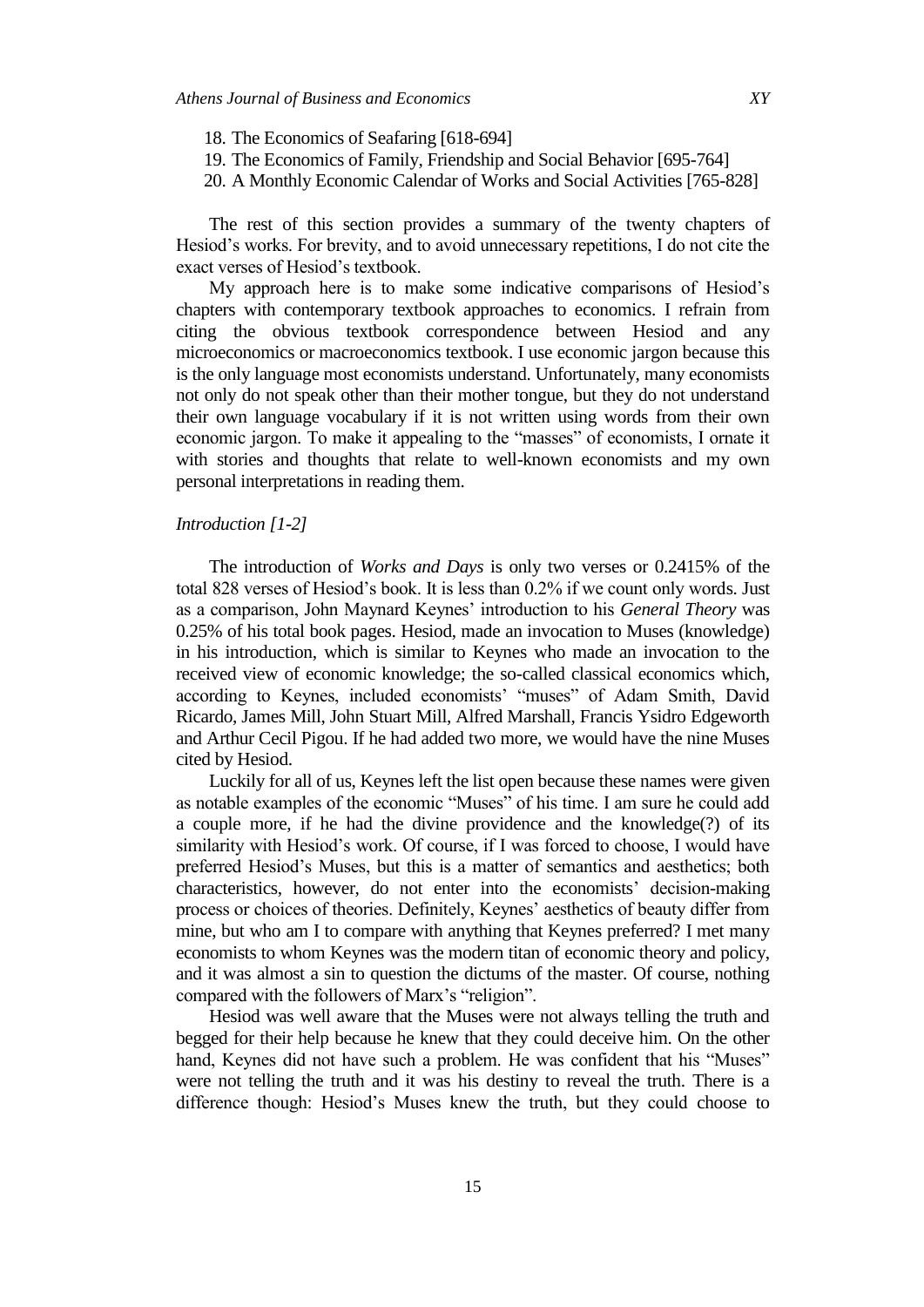- 18. The Economics of Seafaring [618-694]
- 19. The Economics of Family, Friendship and Social Behavior [695-764]
- 20. A Monthly Economic Calendar of Works and Social Activities [765-828]

The rest of this section provides a summary of the twenty chapters of Hesiod's works. For brevity, and to avoid unnecessary repetitions, I do not cite the exact verses of Hesiod's textbook.

My approach here is to make some indicative comparisons of Hesiod's chapters with contemporary textbook approaches to economics. I refrain from citing the obvious textbook correspondence between Hesiod and any microeconomics or macroeconomics textbook. I use economic jargon because this is the only language most economists understand. Unfortunately, many economists not only do not speak other than their mother tongue, but they do not understand their own language vocabulary if it is not written using words from their own economic jargon. To make it appealing to the "masses" of economists, I ornate it with stories and thoughts that relate to well-known economists and my own personal interpretations in reading them.

# *Introduction [1-2]*

The introduction of *Works and Days* is only two verses or 0.2415% of the total 828 verses of Hesiod's book. It is less than 0.2% if we count only words. Just as a comparison, John Maynard Keynes' introduction to his *General Theory* was 0.25% of his total book pages. Hesiod, made an invocation to Muses (knowledge) in his introduction, which is similar to Keynes who made an invocation to the received view of economic knowledge; the so-called classical economics which, according to Keynes, included economists' "muses" of Adam Smith, David Ricardo, James Mill, John Stuart Mill, Alfred Marshall, Francis Ysidro Edgeworth and Arthur Cecil Pigou. If he had added two more, we would have the nine Muses cited by Hesiod.

Luckily for all of us, Keynes left the list open because these names were given as notable examples of the economic "Muses" of his time. I am sure he could add a couple more, if he had the divine providence and the knowledge(?) of its similarity with Hesiod's work. Of course, if I was forced to choose, I would have preferred Hesiod's Muses, but this is a matter of semantics and aesthetics; both characteristics, however, do not enter into the economists' decision-making process or choices of theories. Definitely, Keynes' aesthetics of beauty differ from mine, but who am I to compare with anything that Keynes preferred? I met many economists to whom Keynes was the modern titan of economic theory and policy, and it was almost a sin to question the dictums of the master. Of course, nothing compared with the followers of Marx's "religion".

Hesiod was well aware that the Muses were not always telling the truth and begged for their help because he knew that they could deceive him. On the other hand, Keynes did not have such a problem. He was confident that his "Muses" were not telling the truth and it was his destiny to reveal the truth. There is a difference though: Hesiod's Muses knew the truth, but they could choose to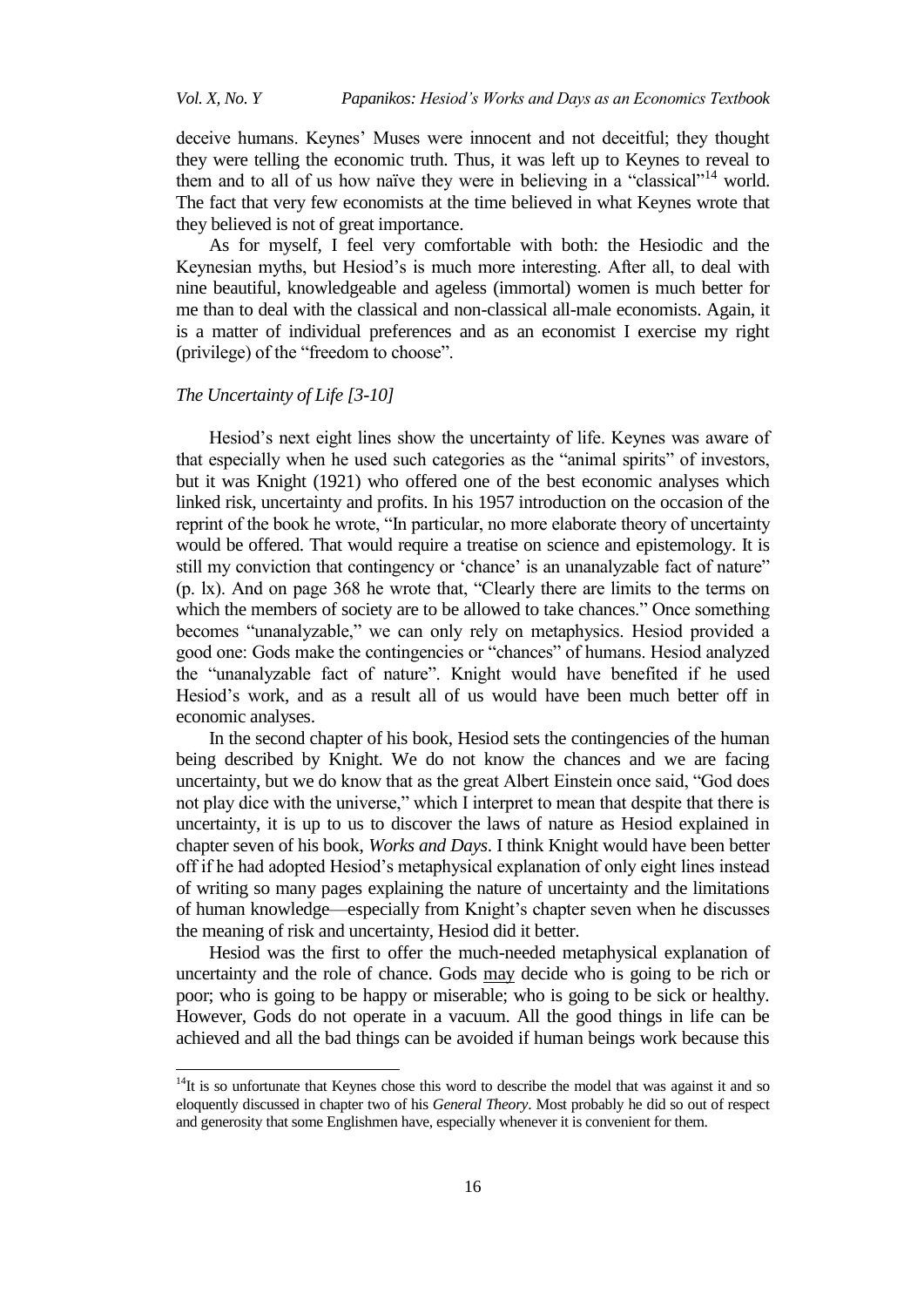*Vol. X, No. Y Papanikos: Hesiod's Works and Days as an Economics Textbook*

deceive humans. Keynes' Muses were innocent and not deceitful; they thought they were telling the economic truth. Thus, it was left up to Keynes to reveal to them and to all of us how naïve they were in believing in a "classical"<sup>14</sup> world. The fact that very few economists at the time believed in what Keynes wrote that they believed is not of great importance.

As for myself, I feel very comfortable with both: the Hesiodic and the Keynesian myths, but Hesiod's is much more interesting. After all, to deal with nine beautiful, knowledgeable and ageless (immortal) women is much better for me than to deal with the classical and non-classical all-male economists. Again, it is a matter of individual preferences and as an economist I exercise my right (privilege) of the "freedom to choose".

### *The Uncertainty of Life [3-10]*

 $\overline{\phantom{a}}$ 

Hesiod's next eight lines show the uncertainty of life. Keynes was aware of that especially when he used such categories as the "animal spirits" of investors, but it was Knight (1921) who offered one of the best economic analyses which linked risk, uncertainty and profits. In his 1957 introduction on the occasion of the reprint of the book he wrote, "In particular, no more elaborate theory of uncertainty would be offered. That would require a treatise on science and epistemology. It is still my conviction that contingency or 'chance' is an unanalyzable fact of nature"  $(p. \, \text{lx})$ . And on page 368 he wrote that, "Clearly there are limits to the terms on which the members of society are to be allowed to take chances." Once something becomes "unanalyzable," we can only rely on metaphysics. Hesiod provided a good one: Gods make the contingencies or "chances" of humans. Hesiod analyzed the "unanalyzable fact of nature". Knight would have benefited if he used Hesiod's work, and as a result all of us would have been much better off in economic analyses.

In the second chapter of his book, Hesiod sets the contingencies of the human being described by Knight. We do not know the chances and we are facing uncertainty, but we do know that as the great Albert Einstein once said, "God does not play dice with the universe," which I interpret to mean that despite that there is uncertainty, it is up to us to discover the laws of nature as Hesiod explained in chapter seven of his book, *Works and Days*. I think Knight would have been better off if he had adopted Hesiod's metaphysical explanation of only eight lines instead of writing so many pages explaining the nature of uncertainty and the limitations of human knowledge—especially from Knight's chapter seven when he discusses the meaning of risk and uncertainty, Hesiod did it better.

Hesiod was the first to offer the much-needed metaphysical explanation of uncertainty and the role of chance. Gods may decide who is going to be rich or poor; who is going to be happy or miserable; who is going to be sick or healthy. However, Gods do not operate in a vacuum. All the good things in life can be achieved and all the bad things can be avoided if human beings work because this

 $14$ It is so unfortunate that Keynes chose this word to describe the model that was against it and so eloquently discussed in chapter two of his *General Theory*. Most probably he did so out of respect and generosity that some Englishmen have, especially whenever it is convenient for them.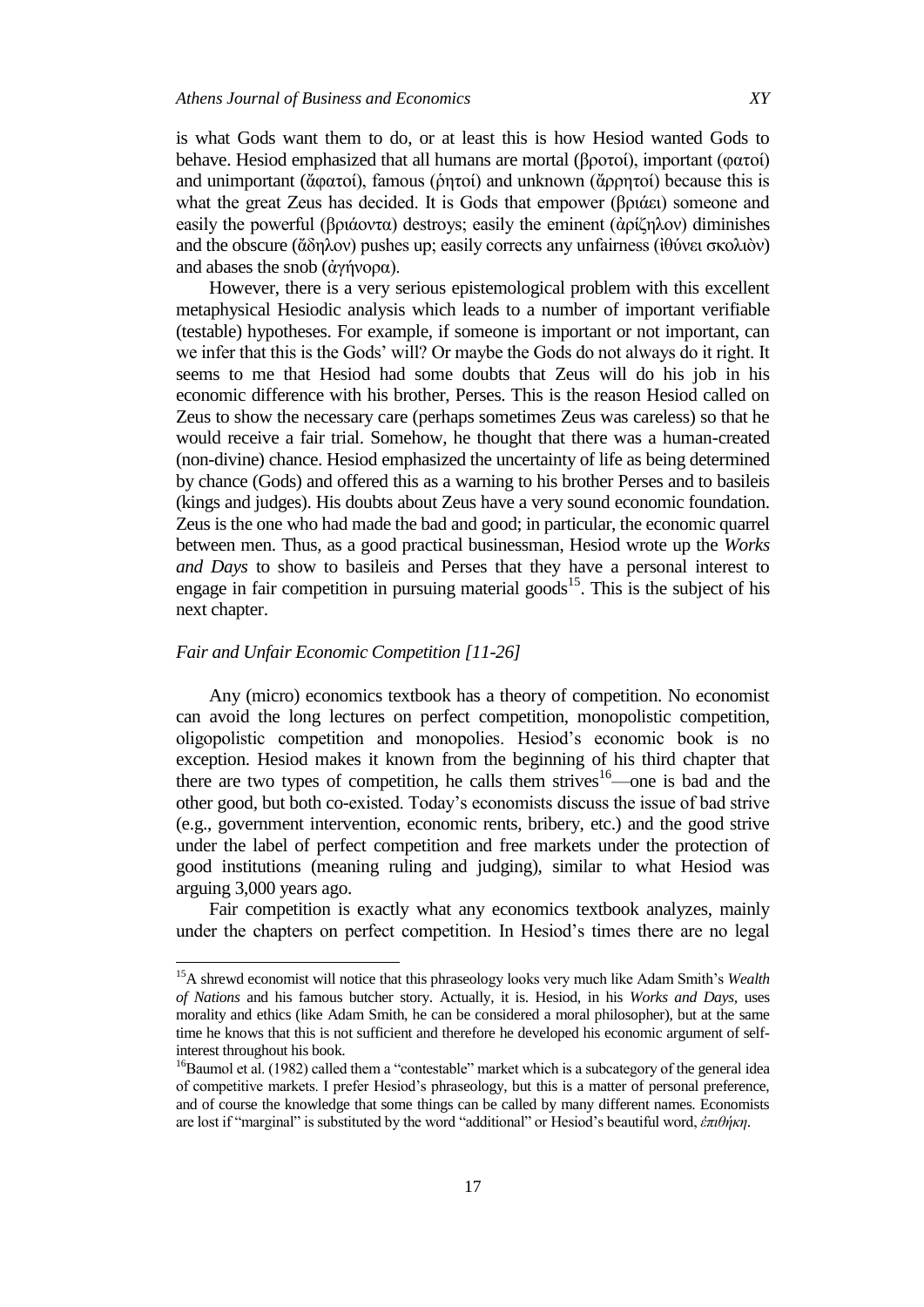is what Gods want them to do, or at least this is how Hesiod wanted Gods to behave. Hesiod emphasized that all humans are mortal (βροτοί), important (φατοί) and unimportant (ἄφατοί), famous (ῥητοί) and unknown (ἄρρητοί) because this is what the great Zeus has decided. It is Gods that empower (βριάει) someone and easily the powerful (βριάοντα) destroys; easily the eminent (ἀρίζηλον) diminishes and the obscure (ἄδηλον) pushes up; easily corrects any unfairness ( $i\theta$ ύνει σκολιὸν) and abases the snob (άγήνορα).

However, there is a very serious epistemological problem with this excellent metaphysical Hesiodic analysis which leads to a number of important verifiable (testable) hypotheses. For example, if someone is important or not important, can we infer that this is the Gods' will? Or maybe the Gods do not always do it right. It seems to me that Hesiod had some doubts that Zeus will do his job in his economic difference with his brother, Perses. This is the reason Hesiod called on Zeus to show the necessary care (perhaps sometimes Zeus was careless) so that he would receive a fair trial. Somehow, he thought that there was a human-created (non-divine) chance. Hesiod emphasized the uncertainty of life as being determined by chance (Gods) and offered this as a warning to his brother Perses and to basileis (kings and judges). His doubts about Zeus have a very sound economic foundation. Zeus is the one who had made the bad and good; in particular, the economic quarrel between men. Thus, as a good practical businessman, Hesiod wrote up the *Works and Days* to show to basileis and Perses that they have a personal interest to engage in fair competition in pursuing material goods<sup>15</sup>. This is the subject of his next chapter.

# *Fair and Unfair Economic Competition [11-26]*

 $\overline{a}$ 

Any (micro) economics textbook has a theory of competition. No economist can avoid the long lectures on perfect competition, monopolistic competition, oligopolistic competition and monopolies. Hesiod's economic book is no exception. Hesiod makes it known from the beginning of his third chapter that there are two types of competition, he calls them strives<sup>16</sup>—one is bad and the other good, but both co-existed. Today's economists discuss the issue of bad strive (e.g., government intervention, economic rents, bribery, etc.) and the good strive under the label of perfect competition and free markets under the protection of good institutions (meaning ruling and judging), similar to what Hesiod was arguing 3,000 years ago.

Fair competition is exactly what any economics textbook analyzes, mainly under the chapters on perfect competition. In Hesiod's times there are no legal

<sup>15</sup>A shrewd economist will notice that this phraseology looks very much like Adam Smith's *Wealth of Nations* and his famous butcher story. Actually, it is. Hesiod, in his *Works and Days,* uses morality and ethics (like Adam Smith, he can be considered a moral philosopher), but at the same time he knows that this is not sufficient and therefore he developed his economic argument of selfinterest throughout his book.

<sup>&</sup>lt;sup>16</sup>Baumol et al. (1982) called them a "contestable" market which is a subcategory of the general idea of competitive markets. I prefer Hesiod's phraseology, but this is a matter of personal preference, and of course the knowledge that some things can be called by many different names. Economists are lost if "marginal" is substituted by the word "additional" or Hesiod's beautiful word, *ἐπιθήκη*.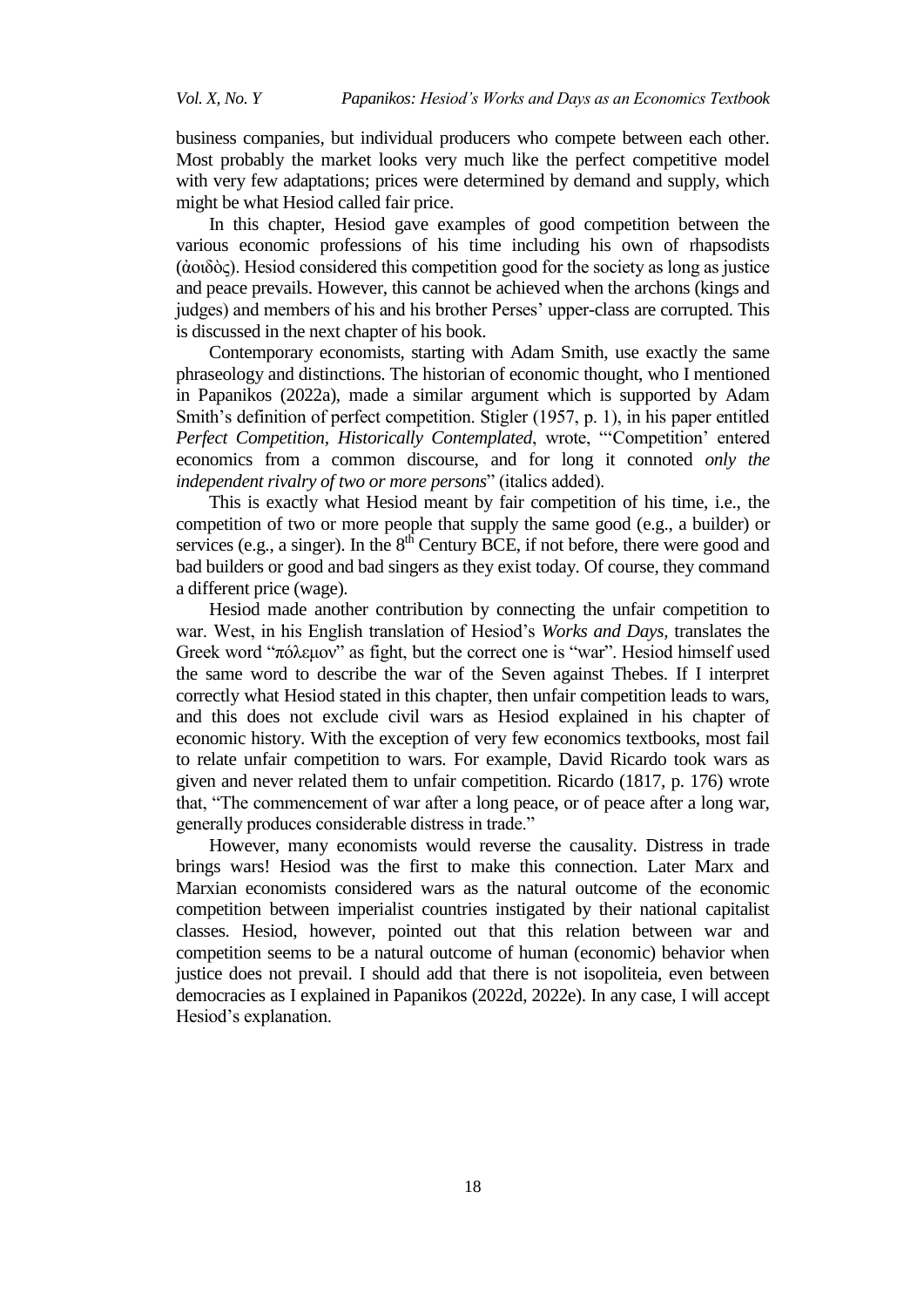business companies, but individual producers who compete between each other. Most probably the market looks very much like the perfect competitive model with very few adaptations; prices were determined by demand and supply, which might be what Hesiod called fair price.

In this chapter, Hesiod gave examples of good competition between the various economic professions of his time including his own of rhapsodists  $(α<sub>0</sub>ω<sub>0</sub>ω<sub>c</sub>)$ . Hesiod considered this competition good for the society as long as justice and peace prevails. However, this cannot be achieved when the archons (kings and judges) and members of his and his brother Perses' upper-class are corrupted. This is discussed in the next chapter of his book.

Contemporary economists, starting with Adam Smith, use exactly the same phraseology and distinctions. The historian of economic thought, who I mentioned in Papanikos (2022a), made a similar argument which is supported by Adam Smith's definition of perfect competition. Stigler (1957, p. 1), in his paper entitled *Perfect Competition, Historically Contemplated, wrote, "Competition' entered* economics from a common discourse, and for long it connoted *only the independent rivalry of two or more persons*" (italics added).

This is exactly what Hesiod meant by fair competition of his time, i.e., the competition of two or more people that supply the same good (e.g., a builder) or services (e.g., a singer). In the  $8<sup>th</sup>$  Century BCE, if not before, there were good and bad builders or good and bad singers as they exist today. Of course, they command a different price (wage).

Hesiod made another contribution by connecting the unfair competition to war. West, in his English translation of Hesiod's *Works and Days,* translates the Greek word "πόλεμον" as fight, but the correct one is "war". Hesiod himself used the same word to describe the war of the Seven against Thebes. If I interpret correctly what Hesiod stated in this chapter, then unfair competition leads to wars, and this does not exclude civil wars as Hesiod explained in his chapter of economic history. With the exception of very few economics textbooks, most fail to relate unfair competition to wars. For example, David Ricardo took wars as given and never related them to unfair competition. Ricardo (1817, p. 176) wrote that, "The commencement of war after a long peace, or of peace after a long war, generally produces considerable distress in trade."

However, many economists would reverse the causality. Distress in trade brings wars! Hesiod was the first to make this connection. Later Marx and Marxian economists considered wars as the natural outcome of the economic competition between imperialist countries instigated by their national capitalist classes. Hesiod, however, pointed out that this relation between war and competition seems to be a natural outcome of human (economic) behavior when justice does not prevail. I should add that there is not isopoliteia, even between democracies as I explained in Papanikos (2022d, 2022e). In any case, I will accept Hesiod's explanation.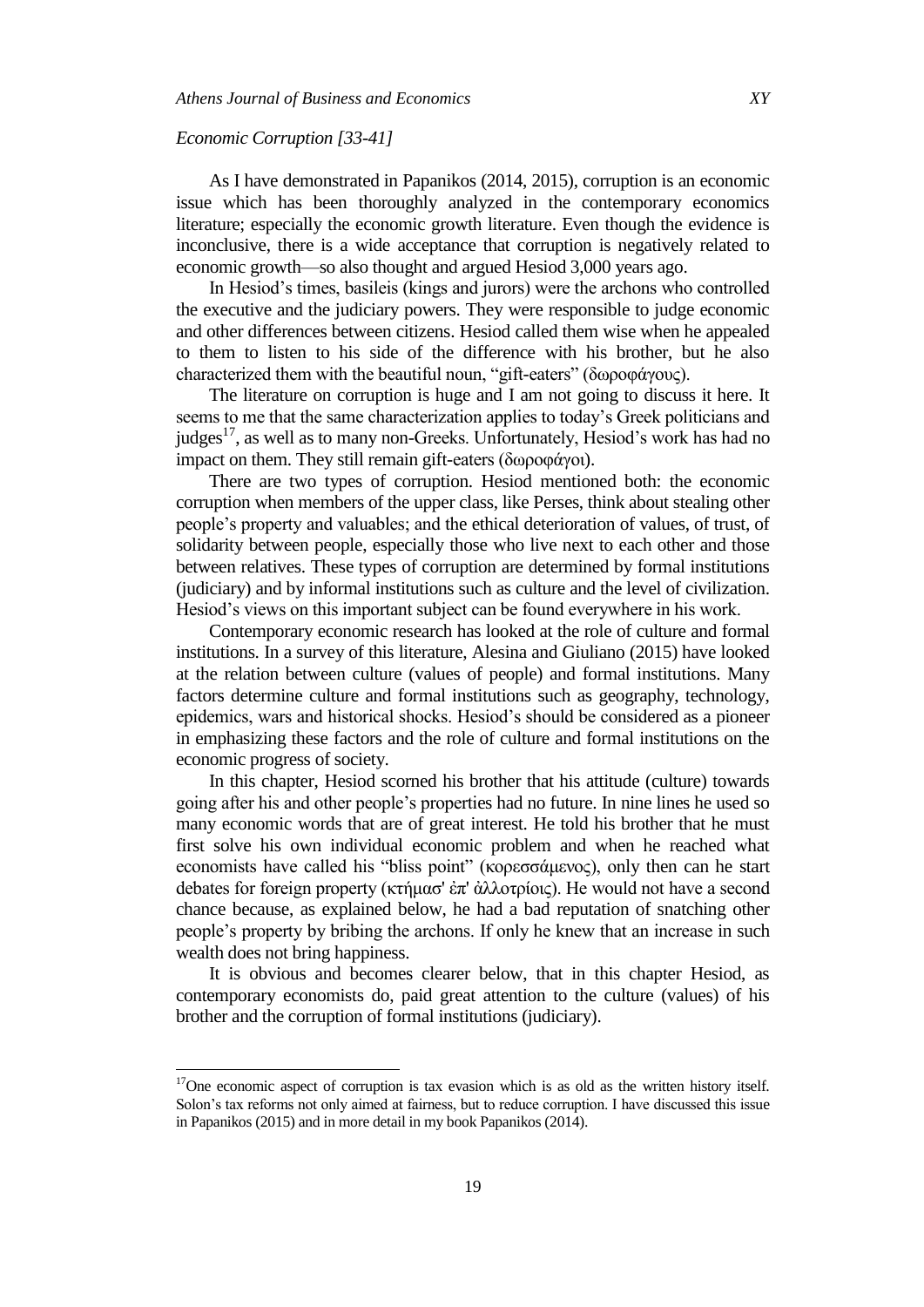### *Economic Corruption [33-41]*

l

As I have demonstrated in Papanikos (2014, 2015), corruption is an economic issue which has been thoroughly analyzed in the contemporary economics literature; especially the economic growth literature. Even though the evidence is inconclusive, there is a wide acceptance that corruption is negatively related to economic growth—so also thought and argued Hesiod 3,000 years ago.

In Hesiod's times, basileis (kings and jurors) were the archons who controlled the executive and the judiciary powers. They were responsible to judge economic and other differences between citizens. Hesiod called them wise when he appealed to them to listen to his side of the difference with his brother, but he also characterized them with the beautiful noun, "gift-eaters" (δωροφάγους).

The literature on corruption is huge and I am not going to discuss it here. It seems to me that the same characterization applies to today's Greek politicians and judges<sup>17</sup>, as well as to many non-Greeks. Unfortunately, Hesiod's work has had no impact on them. They still remain gift-eaters (δωροφάγοι).

There are two types of corruption. Hesiod mentioned both: the economic corruption when members of the upper class, like Perses, think about stealing other people's property and valuables; and the ethical deterioration of values, of trust, of solidarity between people, especially those who live next to each other and those between relatives. These types of corruption are determined by formal institutions (judiciary) and by informal institutions such as culture and the level of civilization. Hesiod's views on this important subject can be found everywhere in his work.

Contemporary economic research has looked at the role of culture and formal institutions. In a survey of this literature, Alesina and Giuliano (2015) have looked at the relation between culture (values of people) and formal institutions. Many factors determine culture and formal institutions such as geography, technology, epidemics, wars and historical shocks. Hesiod's should be considered as a pioneer in emphasizing these factors and the role of culture and formal institutions on the economic progress of society.

In this chapter, Hesiod scorned his brother that his attitude (culture) towards going after his and other people's properties had no future. In nine lines he used so many economic words that are of great interest. He told his brother that he must first solve his own individual economic problem and when he reached what economists have called his "bliss point" (κορεσσάμενος), only then can he start debates for foreign property (κτήμασ' ἐπ' ἀλλοτρίοις). He would not have a second chance because, as explained below, he had a bad reputation of snatching other people's property by bribing the archons. If only he knew that an increase in such wealth does not bring happiness.

It is obvious and becomes clearer below, that in this chapter Hesiod, as contemporary economists do, paid great attention to the culture (values) of his brother and the corruption of formal institutions (judiciary).

 $17$ One economic aspect of corruption is tax evasion which is as old as the written history itself. Solon's tax reforms not only aimed at fairness, but to reduce corruption. I have discussed this issue in Papanikos (2015) and in more detail in my book Papanikos (2014).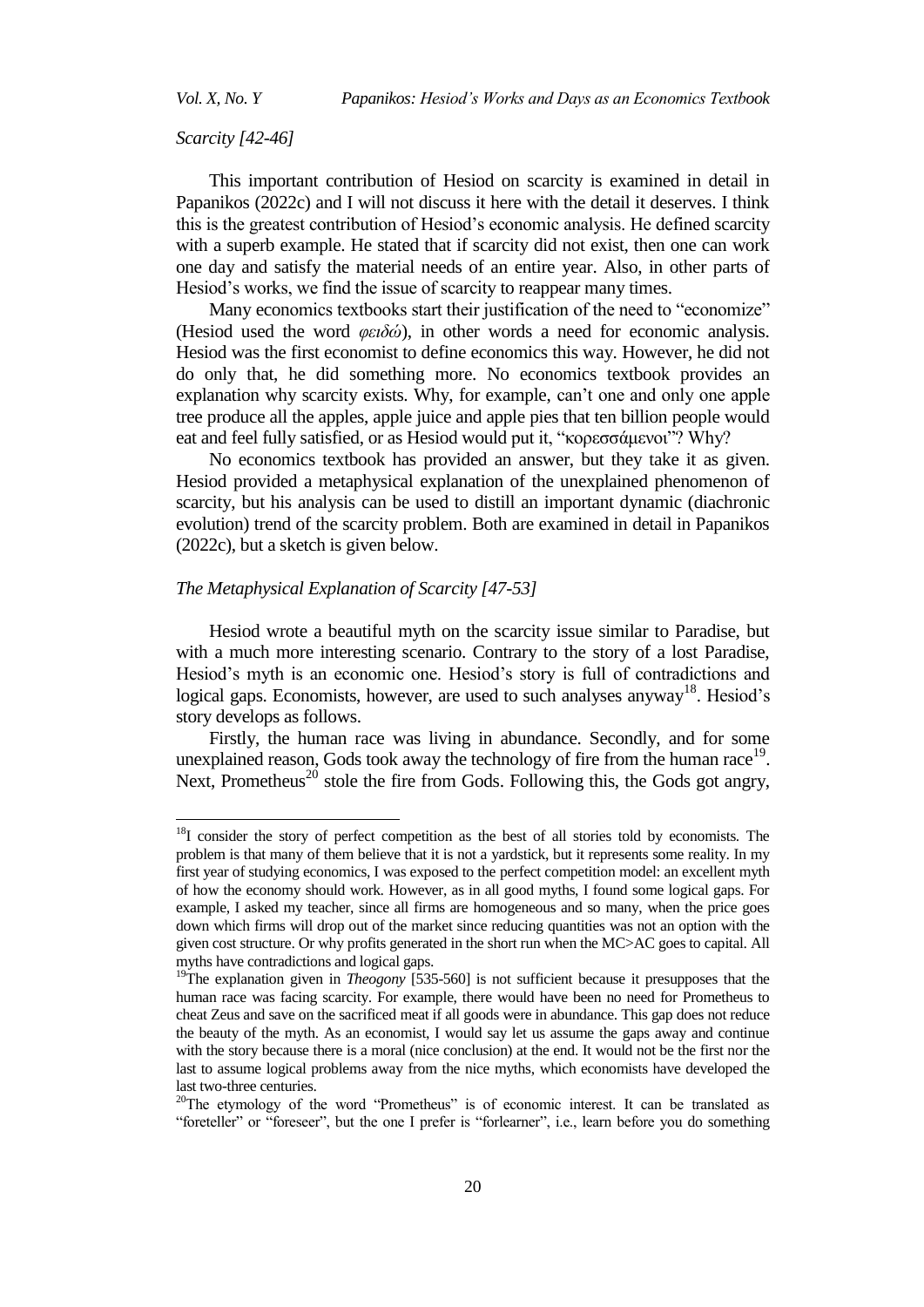l

### *Scarcity [42-46]*

This important contribution of Hesiod on scarcity is examined in detail in Papanikos (2022c) and I will not discuss it here with the detail it deserves. I think this is the greatest contribution of Hesiod's economic analysis. He defined scarcity with a superb example. He stated that if scarcity did not exist, then one can work one day and satisfy the material needs of an entire year. Also, in other parts of Hesiod's works, we find the issue of scarcity to reappear many times.

Many economics textbooks start their justification of the need to "economize" (Hesiod used the word *θειδώ*), in other words a need for economic analysis. Hesiod was the first economist to define economics this way. However, he did not do only that, he did something more. No economics textbook provides an explanation why scarcity exists. Why, for example, can't one and only one apple tree produce all the apples, apple juice and apple pies that ten billion people would eat and feel fully satisfied, or as Hesiod would put it, "κορεσσάμενοι"? Why?

No economics textbook has provided an answer, but they take it as given. Hesiod provided a metaphysical explanation of the unexplained phenomenon of scarcity, but his analysis can be used to distill an important dynamic (diachronic evolution) trend of the scarcity problem. Both are examined in detail in Papanikos (2022c), but a sketch is given below.

# *The Metaphysical Explanation of Scarcity [47-53]*

Hesiod wrote a beautiful myth on the scarcity issue similar to Paradise, but with a much more interesting scenario. Contrary to the story of a lost Paradise, Hesiod's myth is an economic one. Hesiod's story is full of contradictions and logical gaps. Economists, however, are used to such analyses anyway<sup>18</sup>. Hesiod's story develops as follows.

Firstly, the human race was living in abundance. Secondly, and for some unexplained reason, Gods took away the technology of fire from the human race<sup>19</sup>. Next, Prometheus<sup>20</sup> stole the fire from Gods. Following this, the Gods got angry,

<sup>&</sup>lt;sup>18</sup>I consider the story of perfect competition as the best of all stories told by economists. The problem is that many of them believe that it is not a yardstick, but it represents some reality. In my first year of studying economics, I was exposed to the perfect competition model: an excellent myth of how the economy should work. However, as in all good myths, I found some logical gaps. For example, I asked my teacher, since all firms are homogeneous and so many, when the price goes down which firms will drop out of the market since reducing quantities was not an option with the given cost structure. Or why profits generated in the short run when the MC>AC goes to capital. All myths have contradictions and logical gaps.

<sup>&</sup>lt;sup>19</sup>The explanation given in *Theogony* [535-560] is not sufficient because it presupposes that the human race was facing scarcity. For example, there would have been no need for Prometheus to cheat Zeus and save on the sacrificed meat if all goods were in abundance. This gap does not reduce the beauty of the myth. As an economist, I would say let us assume the gaps away and continue with the story because there is a moral (nice conclusion) at the end. It would not be the first nor the last to assume logical problems away from the nice myths, which economists have developed the last two-three centuries.

 $20$ The etymology of the word "Prometheus" is of economic interest. It can be translated as "foreteller" or "foreseer", but the one I prefer is "forlearner", i.e., learn before you do something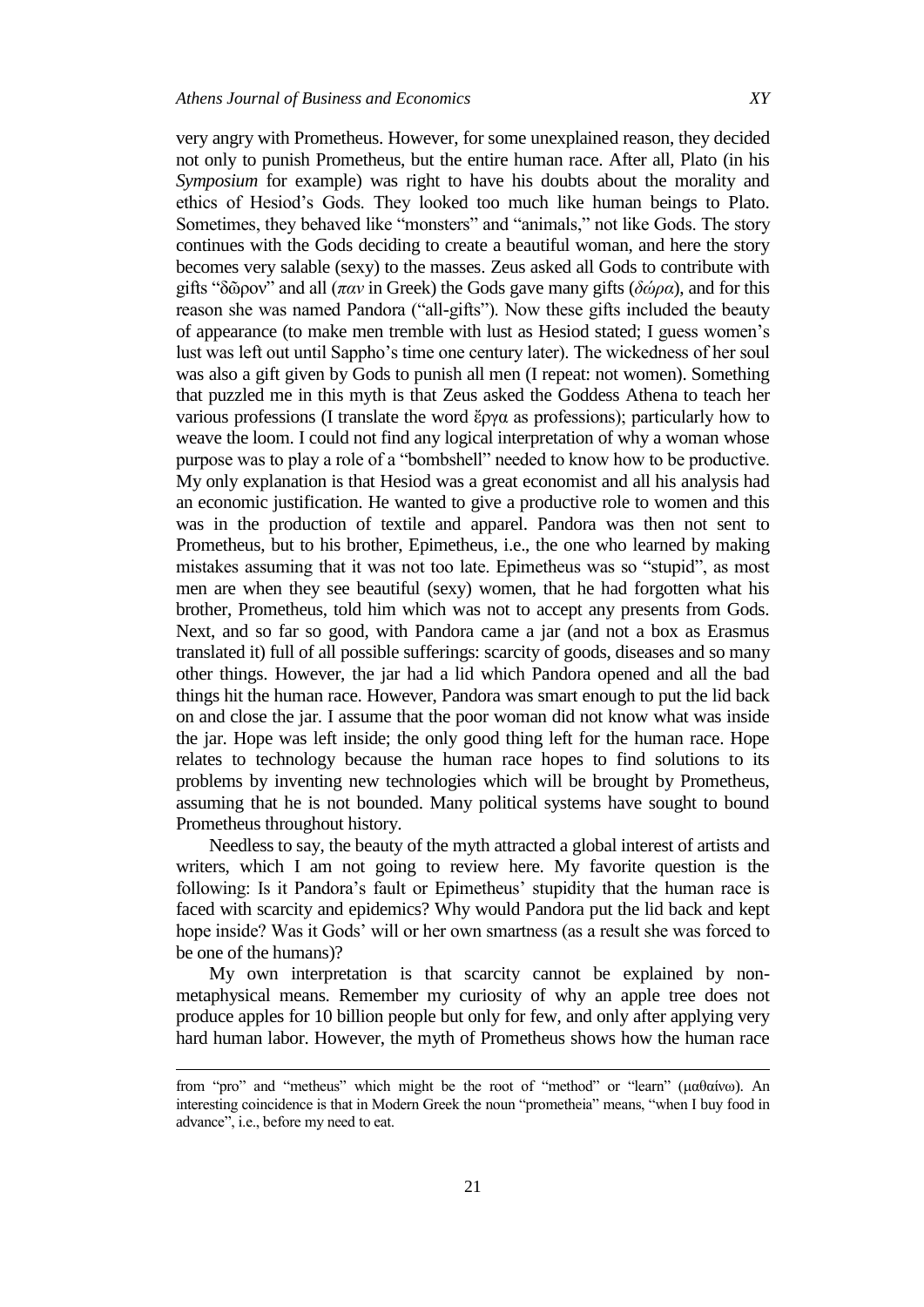very angry with Prometheus. However, for some unexplained reason, they decided not only to punish Prometheus, but the entire human race. After all, Plato (in his *Symposium* for example) was right to have his doubts about the morality and ethics of Hesiod's Gods. They looked too much like human beings to Plato. Sometimes, they behaved like "monsters" and "animals," not like Gods. The story continues with the Gods deciding to create a beautiful woman, and here the story becomes very salable (sexy) to the masses. Zeus asked all Gods to contribute with gifts "δῶρον" and all (παν in Greek) the Gods gave many gifts ( $\delta\omega\rho\alpha$ ), and for this reason she was named Pandora ("all-gifts"). Now these gifts included the beauty of appearance (to make men tremble with lust as Hesiod stated; I guess women's lust was left out until Sappho's time one century later). The wickedness of her soul was also a gift given by Gods to punish all men (I repeat: not women). Something that puzzled me in this myth is that Zeus asked the Goddess Athena to teach her various professions (I translate the word ἔργα as professions); particularly how to weave the loom. I could not find any logical interpretation of why a woman whose purpose was to play a role of a "bombshell" needed to know how to be productive. My only explanation is that Hesiod was a great economist and all his analysis had an economic justification. He wanted to give a productive role to women and this was in the production of textile and apparel. Pandora was then not sent to Prometheus, but to his brother, Epimetheus, i.e., the one who learned by making mistakes assuming that it was not too late. Epimetheus was so "stupid", as most men are when they see beautiful (sexy) women, that he had forgotten what his brother, Prometheus, told him which was not to accept any presents from Gods. Next, and so far so good, with Pandora came a jar (and not a box as Erasmus translated it) full of all possible sufferings: scarcity of goods, diseases and so many other things. However, the jar had a lid which Pandora opened and all the bad things hit the human race. However, Pandora was smart enough to put the lid back on and close the jar. I assume that the poor woman did not know what was inside the jar. Hope was left inside; the only good thing left for the human race. Hope relates to technology because the human race hopes to find solutions to its problems by inventing new technologies which will be brought by Prometheus, assuming that he is not bounded. Many political systems have sought to bound Prometheus throughout history.

Needless to say, the beauty of the myth attracted a global interest of artists and writers, which I am not going to review here. My favorite question is the following: Is it Pandora's fault or Epimetheus' stupidity that the human race is faced with scarcity and epidemics? Why would Pandora put the lid back and kept hope inside? Was it Gods' will or her own smartness (as a result she was forced to be one of the humans)?

My own interpretation is that scarcity cannot be explained by nonmetaphysical means. Remember my curiosity of why an apple tree does not produce apples for 10 billion people but only for few, and only after applying very hard human labor. However, the myth of Prometheus shows how the human race

-

from "pro" and "metheus" which might be the root of "method" or "learn" (μαθαίνω). An interesting coincidence is that in Modern Greek the noun "prometheia" means, "when I buy food in advance", i.e., before my need to eat.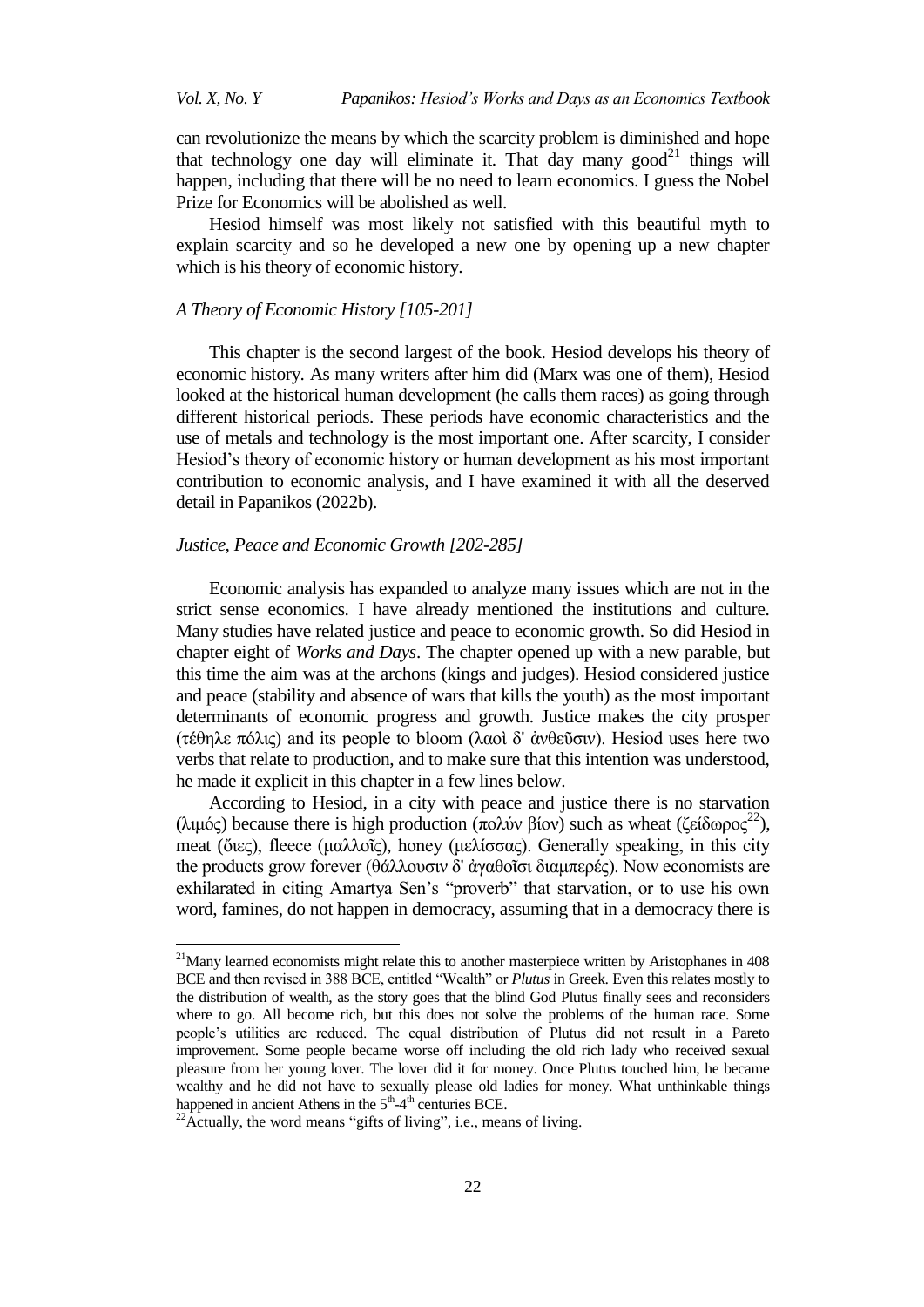*Vol. X, No. Y Papanikos: Hesiod's Works and Days as an Economics Textbook*

can revolutionize the means by which the scarcity problem is diminished and hope that technology one day will eliminate it. That day many good<sup>21</sup> things will happen, including that there will be no need to learn economics. I guess the Nobel Prize for Economics will be abolished as well.

Hesiod himself was most likely not satisfied with this beautiful myth to explain scarcity and so he developed a new one by opening up a new chapter which is his theory of economic history.

### *A Theory of Economic History [105-201]*

This chapter is the second largest of the book. Hesiod develops his theory of economic history. As many writers after him did (Marx was one of them), Hesiod looked at the historical human development (he calls them races) as going through different historical periods. These periods have economic characteristics and the use of metals and technology is the most important one. After scarcity, I consider Hesiod's theory of economic history or human development as his most important contribution to economic analysis, and I have examined it with all the deserved detail in Papanikos (2022b).

# *Justice, Peace and Economic Growth [202-285]*

Economic analysis has expanded to analyze many issues which are not in the strict sense economics. I have already mentioned the institutions and culture. Many studies have related justice and peace to economic growth. So did Hesiod in chapter eight of *Works and Days*. The chapter opened up with a new parable, but this time the aim was at the archons (kings and judges). Hesiod considered justice and peace (stability and absence of wars that kills the youth) as the most important determinants of economic progress and growth. Justice makes the city prosper (τέθηλε πόλις) and its people to bloom (λαοί δ' άνθεῦσιν). Hesiod uses here two verbs that relate to production, and to make sure that this intention was understood, he made it explicit in this chapter in a few lines below.

According to Hesiod, in a city with peace and justice there is no starvation (λιμός) because there is high production (πολύν βίον) such as wheat (ζείδωρος<sup>22</sup>), meat (ὄιες), fleece (μαλλοῖς), honey (μελίσσας). Generally speaking, in this city the products grow forever (θάλλουσιν δ' άγαθοῖσι διαμπερές). Now economists are exhilarated in citing Amartya Sen's "proverb" that starvation, or to use his own word, famines, do not happen in democracy, assuming that in a democracy there is

l

 $21$ Many learned economists might relate this to another masterpiece written by Aristophanes in 408 BCE and then revised in 388 BCE, entitled "Wealth" or *Plutus* in Greek. Even this relates mostly to the distribution of wealth, as the story goes that the blind God Plutus finally sees and reconsiders where to go. All become rich, but this does not solve the problems of the human race. Some people's utilities are reduced. The equal distribution of Plutus did not result in a Pareto improvement. Some people became worse off including the old rich lady who received sexual pleasure from her young lover. The lover did it for money. Once Plutus touched him, he became wealthy and he did not have to sexually please old ladies for money. What unthinkable things happened in ancient Athens in the  $5<sup>th</sup>-4<sup>th</sup>$  centuries BCE.

 $^{22}$ Actually, the word means "gifts of living", i.e., means of living.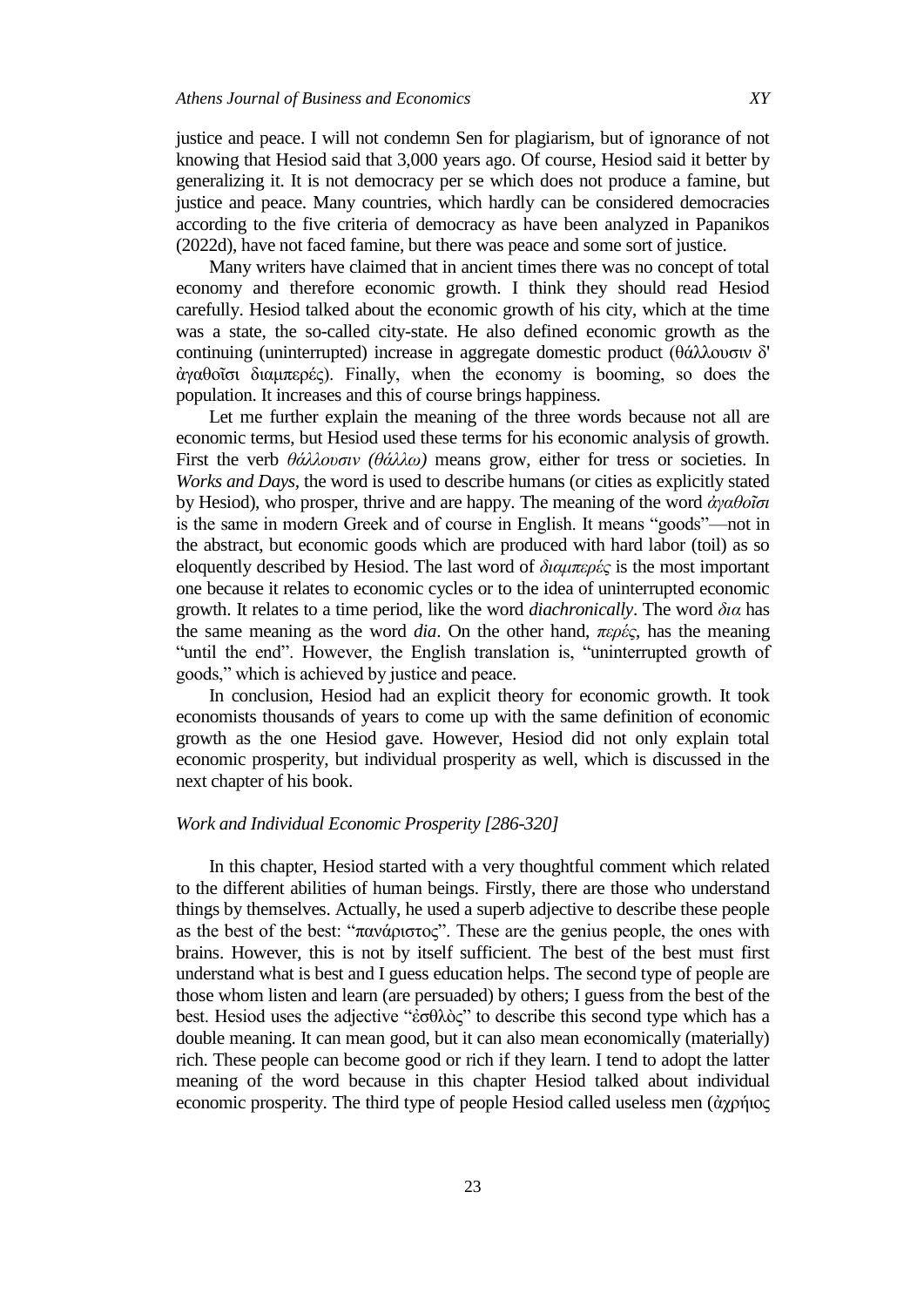justice and peace. I will not condemn Sen for plagiarism, but of ignorance of not knowing that Hesiod said that 3,000 years ago. Of course, Hesiod said it better by generalizing it. It is not democracy per se which does not produce a famine, but justice and peace. Many countries, which hardly can be considered democracies according to the five criteria of democracy as have been analyzed in Papanikos (2022d), have not faced famine, but there was peace and some sort of justice.

Many writers have claimed that in ancient times there was no concept of total economy and therefore economic growth. I think they should read Hesiod carefully. Hesiod talked about the economic growth of his city, which at the time was a state, the so-called city-state. He also defined economic growth as the continuing (uninterrupted) increase in aggregate domestic product (θάλλουσιν δ' άγαθοΐσι διαμπερές). Finally, when the economy is booming, so does the population. It increases and this of course brings happiness.

Let me further explain the meaning of the three words because not all are economic terms, but Hesiod used these terms for his economic analysis of growth. First the verb θάλλουσιν (θάλλω) means grow, either for tress or societies. In *Works and Days,* the word is used to describe humans (or cities as explicitly stated by Hesiod), who prosper, thrive and are happy. The meaning of the word *ἀγαθοῖσι* is the same in modern Greek and of course in English. It means "goods"—not in the abstract, but economic goods which are produced with hard labor (toil) as so eloquently described by Hesiod. The last word of διαμπερές is the most important one because it relates to economic cycles or to the idea of uninterrupted economic growth. It relates to a time period, like the word *diachronically*. The word *δια* has the same meaning as the word *dia*. On the other hand,  $\pi \varepsilon \rho \varepsilon \zeta$ , has the meaning "until the end". However, the English translation is, "uninterrupted growth of goods," which is achieved by justice and peace.

In conclusion, Hesiod had an explicit theory for economic growth. It took economists thousands of years to come up with the same definition of economic growth as the one Hesiod gave. However, Hesiod did not only explain total economic prosperity, but individual prosperity as well, which is discussed in the next chapter of his book.

# *Work and Individual Economic Prosperity [286-320]*

In this chapter, Hesiod started with a very thoughtful comment which related to the different abilities of human beings. Firstly, there are those who understand things by themselves. Actually, he used a superb adjective to describe these people as the best of the best: "πανάριστος". These are the genius people, the ones with brains. However, this is not by itself sufficient. The best of the best must first understand what is best and I guess education helps. The second type of people are those whom listen and learn (are persuaded) by others; I guess from the best of the best. Hesiod uses the adjective "έσθλὸς" to describe this second type which has a double meaning. It can mean good, but it can also mean economically (materially) rich. These people can become good or rich if they learn. I tend to adopt the latter meaning of the word because in this chapter Hesiod talked about individual economic prosperity. The third type of people Hesiod called useless men (άχρήιος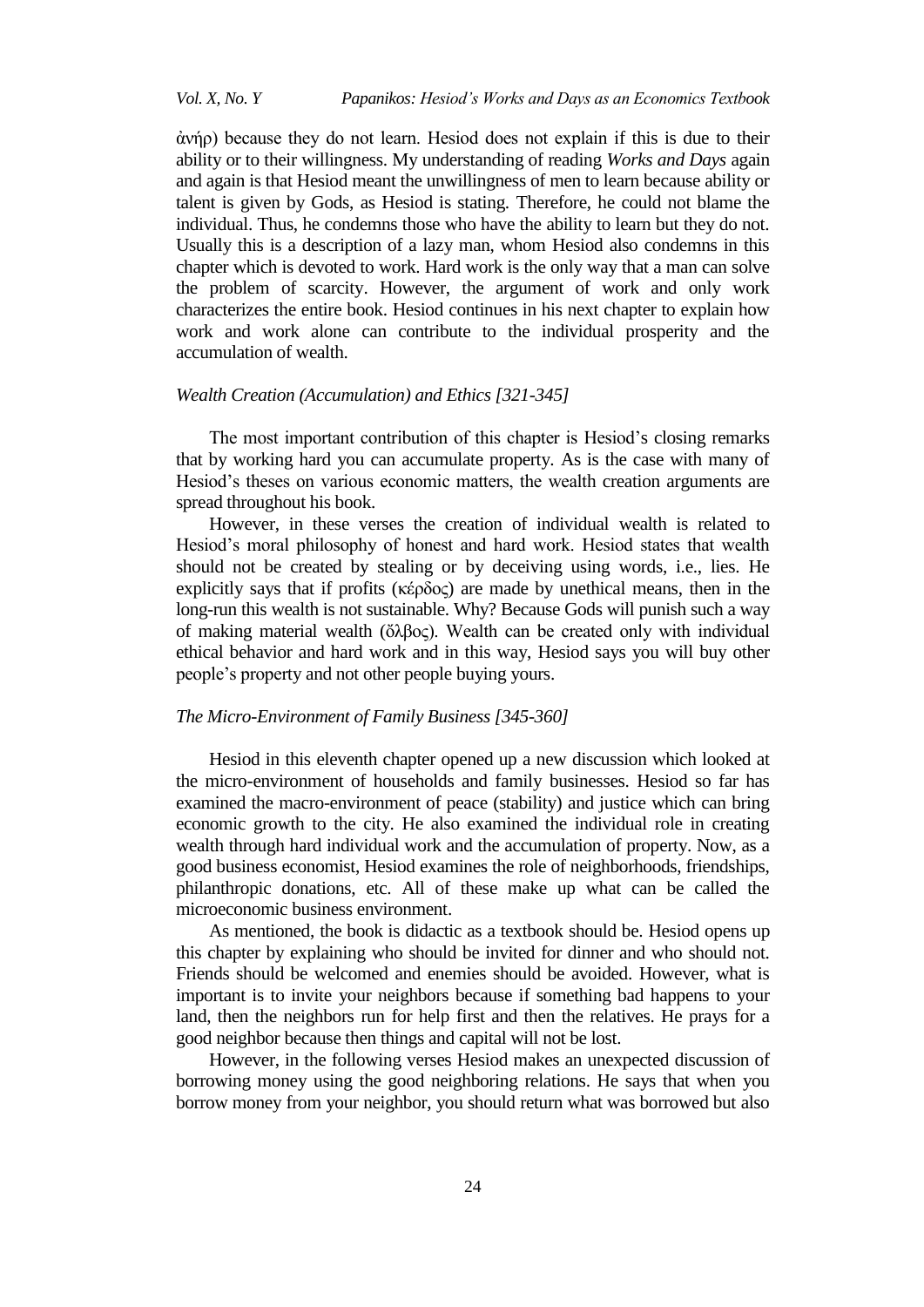*Vol. X, No. Y Papanikos: Hesiod's Works and Days as an Economics Textbook*

ἀλήξ) because they do not learn. Hesiod does not explain if this is due to their ability or to their willingness. My understanding of reading *Works and Days* again and again is that Hesiod meant the unwillingness of men to learn because ability or talent is given by Gods, as Hesiod is stating. Therefore, he could not blame the individual. Thus, he condemns those who have the ability to learn but they do not. Usually this is a description of a lazy man, whom Hesiod also condemns in this chapter which is devoted to work. Hard work is the only way that a man can solve the problem of scarcity. However, the argument of work and only work characterizes the entire book. Hesiod continues in his next chapter to explain how work and work alone can contribute to the individual prosperity and the accumulation of wealth.

### *Wealth Creation (Accumulation) and Ethics [321-345]*

The most important contribution of this chapter is Hesiod's closing remarks that by working hard you can accumulate property. As is the case with many of Hesiod's theses on various economic matters, the wealth creation arguments are spread throughout his book.

However, in these verses the creation of individual wealth is related to Hesiod's moral philosophy of honest and hard work. Hesiod states that wealth should not be created by stealing or by deceiving using words, i.e., lies. He explicitly says that if profits ( $\kappa \epsilon \rho \delta o \varsigma$ ) are made by unethical means, then in the long-run this wealth is not sustainable. Why? Because Gods will punish such a way of making material wealth (ὄλβος). Wealth can be created only with individual ethical behavior and hard work and in this way, Hesiod says you will buy other people's property and not other people buying yours.

### *The Micro-Environment of Family Business [345-360]*

Hesiod in this eleventh chapter opened up a new discussion which looked at the micro-environment of households and family businesses. Hesiod so far has examined the macro-environment of peace (stability) and justice which can bring economic growth to the city. He also examined the individual role in creating wealth through hard individual work and the accumulation of property. Now, as a good business economist, Hesiod examines the role of neighborhoods, friendships, philanthropic donations, etc. All of these make up what can be called the microeconomic business environment.

As mentioned, the book is didactic as a textbook should be. Hesiod opens up this chapter by explaining who should be invited for dinner and who should not. Friends should be welcomed and enemies should be avoided. However, what is important is to invite your neighbors because if something bad happens to your land, then the neighbors run for help first and then the relatives. He prays for a good neighbor because then things and capital will not be lost.

However, in the following verses Hesiod makes an unexpected discussion of borrowing money using the good neighboring relations. He says that when you borrow money from your neighbor, you should return what was borrowed but also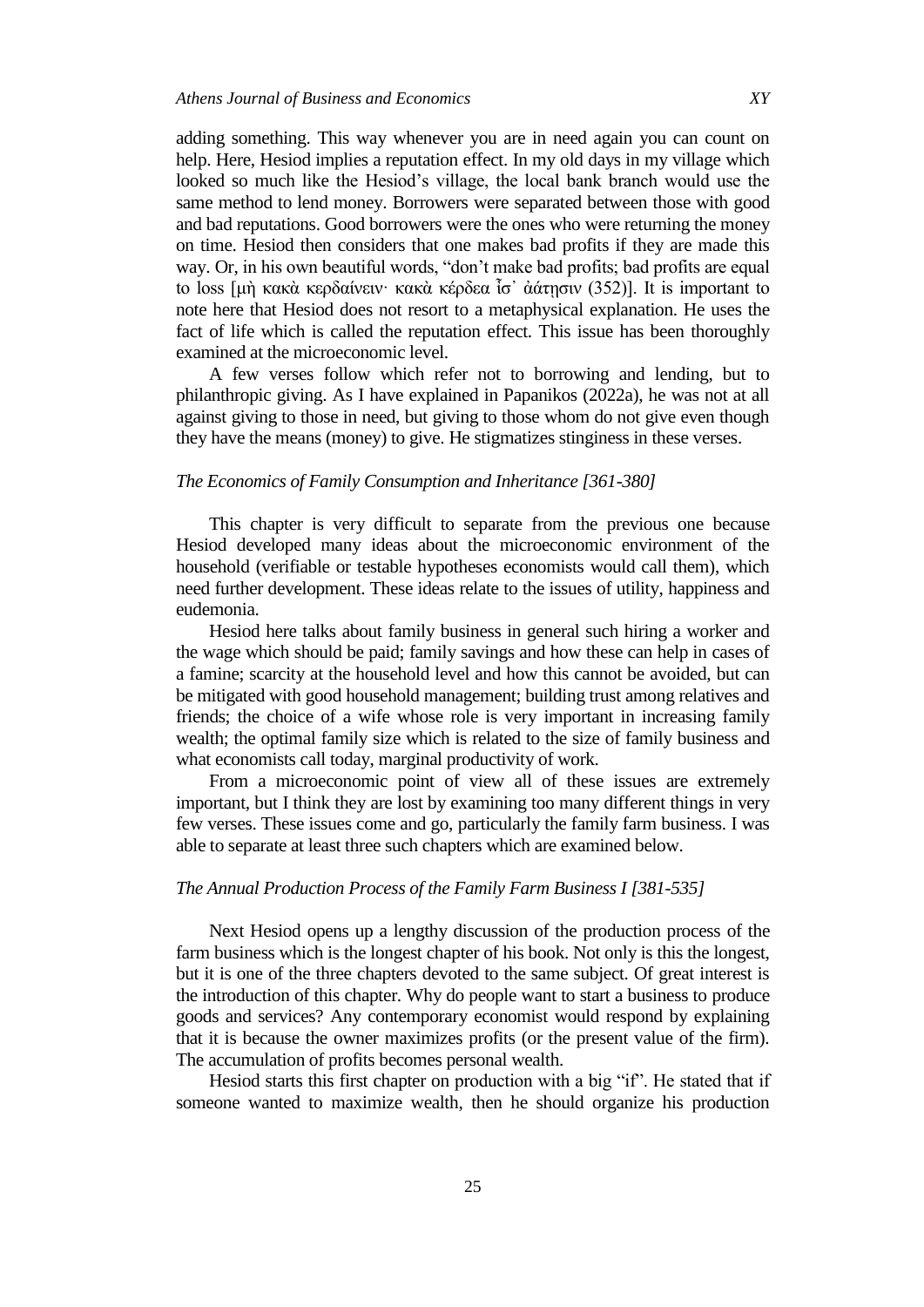examined at the microeconomic level.

adding something. This way whenever you are in need again you can count on help. Here, Hesiod implies a reputation effect. In my old days in my village which looked so much like the Hesiod's village, the local bank branch would use the same method to lend money. Borrowers were separated between those with good and bad reputations. Good borrowers were the ones who were returning the money on time. Hesiod then considers that one makes bad profits if they are made this way. Or, in his own beautiful words, "don't make bad profits; bad profits are equal to loss [μὴ κακὰ κερδαίνειν· κακὰ κέρδεα ἶσ' ἀάτησιν (352)]. It is important to note here that Hesiod does not resort to a metaphysical explanation. He uses the fact of life which is called the reputation effect. This issue has been thoroughly

A few verses follow which refer not to borrowing and lending, but to philanthropic giving. As I have explained in Papanikos (2022a), he was not at all against giving to those in need, but giving to those whom do not give even though they have the means (money) to give. He stigmatizes stinginess in these verses.

### *The Economics of Family Consumption and Inheritance [361-380]*

This chapter is very difficult to separate from the previous one because Hesiod developed many ideas about the microeconomic environment of the household (verifiable or testable hypotheses economists would call them), which need further development. These ideas relate to the issues of utility, happiness and eudemonia.

Hesiod here talks about family business in general such hiring a worker and the wage which should be paid; family savings and how these can help in cases of a famine; scarcity at the household level and how this cannot be avoided, but can be mitigated with good household management; building trust among relatives and friends; the choice of a wife whose role is very important in increasing family wealth; the optimal family size which is related to the size of family business and what economists call today, marginal productivity of work.

From a microeconomic point of view all of these issues are extremely important, but I think they are lost by examining too many different things in very few verses. These issues come and go, particularly the family farm business. I was able to separate at least three such chapters which are examined below.

### *The Annual Production Process of the Family Farm Business I [381-535]*

Next Hesiod opens up a lengthy discussion of the production process of the farm business which is the longest chapter of his book. Not only is this the longest, but it is one of the three chapters devoted to the same subject. Of great interest is the introduction of this chapter. Why do people want to start a business to produce goods and services? Any contemporary economist would respond by explaining that it is because the owner maximizes profits (or the present value of the firm). The accumulation of profits becomes personal wealth.

Hesiod starts this first chapter on production with a big "if". He stated that if someone wanted to maximize wealth, then he should organize his production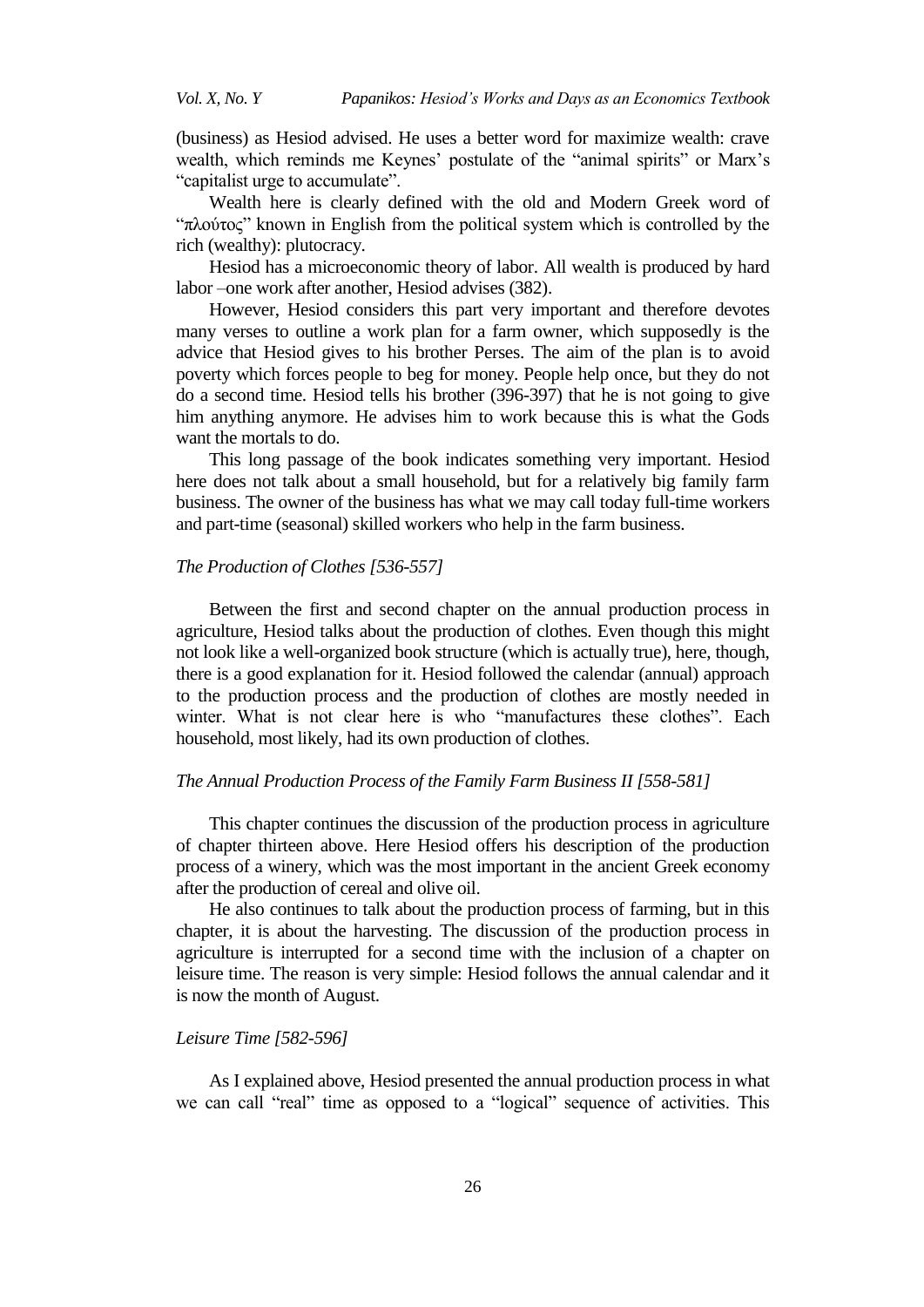(business) as Hesiod advised. He uses a better word for maximize wealth: crave wealth, which reminds me Keynes' postulate of the "animal spirits" or Marx's "capitalist urge to accumulate".

Wealth here is clearly defined with the old and Modern Greek word of "πλούτος" known in English from the political system which is controlled by the rich (wealthy): plutocracy.

Hesiod has a microeconomic theory of labor. All wealth is produced by hard labor –one work after another, Hesiod advises (382).

However, Hesiod considers this part very important and therefore devotes many verses to outline a work plan for a farm owner, which supposedly is the advice that Hesiod gives to his brother Perses. The aim of the plan is to avoid poverty which forces people to beg for money. People help once, but they do not do a second time. Hesiod tells his brother (396-397) that he is not going to give him anything anymore. He advises him to work because this is what the Gods want the mortals to do.

This long passage of the book indicates something very important. Hesiod here does not talk about a small household, but for a relatively big family farm business. The owner of the business has what we may call today full-time workers and part-time (seasonal) skilled workers who help in the farm business.

### *The Production of Clothes [536-557]*

Between the first and second chapter on the annual production process in agriculture, Hesiod talks about the production of clothes. Even though this might not look like a well-organized book structure (which is actually true), here, though, there is a good explanation for it. Hesiod followed the calendar (annual) approach to the production process and the production of clothes are mostly needed in winter. What is not clear here is who "manufactures these clothes". Each household, most likely, had its own production of clothes.

### *The Annual Production Process of the Family Farm Business II [558-581]*

This chapter continues the discussion of the production process in agriculture of chapter thirteen above. Here Hesiod offers his description of the production process of a winery, which was the most important in the ancient Greek economy after the production of cereal and olive oil.

He also continues to talk about the production process of farming, but in this chapter, it is about the harvesting. The discussion of the production process in agriculture is interrupted for a second time with the inclusion of a chapter on leisure time. The reason is very simple: Hesiod follows the annual calendar and it is now the month of August.

### *Leisure Time [582-596]*

As I explained above, Hesiod presented the annual production process in what we can call "real" time as opposed to a "logical" sequence of activities. This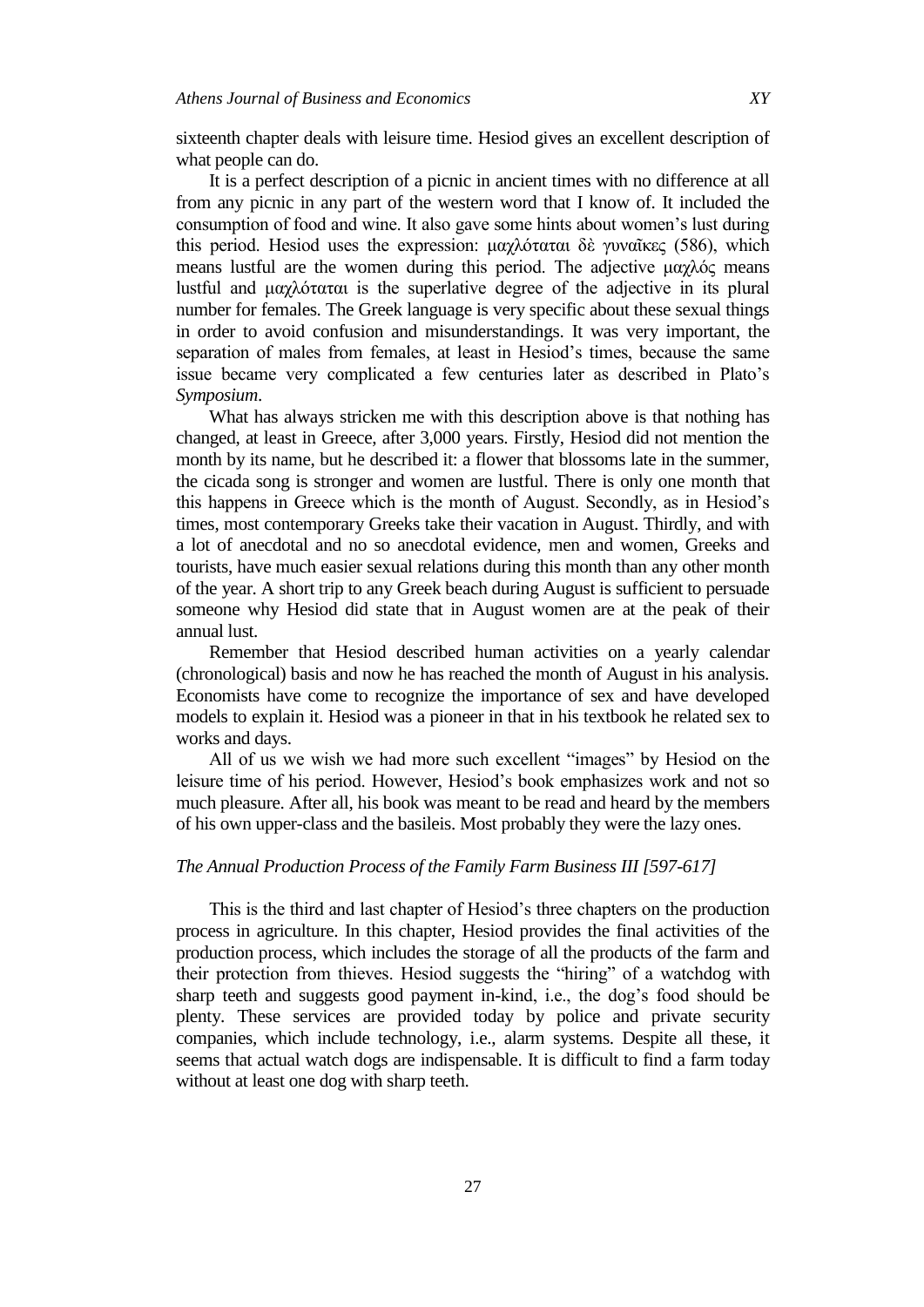sixteenth chapter deals with leisure time. Hesiod gives an excellent description of what people can do.

It is a perfect description of a picnic in ancient times with no difference at all from any picnic in any part of the western word that I know of. It included the consumption of food and wine. It also gave some hints about women's lust during this period. Hesiod uses the expression: μαχλόταται δὲ γυναῖκες (586), which means lustful are the women during this period. The adjective  $\mu \alpha \gamma \lambda \phi \zeta$  means lustful and μαχλόταται is the superlative degree of the adjective in its plural number for females. The Greek language is very specific about these sexual things in order to avoid confusion and misunderstandings. It was very important, the separation of males from females, at least in Hesiod's times, because the same issue became very complicated a few centuries later as described in Plato's *Symposium*.

What has always stricken me with this description above is that nothing has changed, at least in Greece, after 3,000 years. Firstly, Hesiod did not mention the month by its name, but he described it: a flower that blossoms late in the summer, the cicada song is stronger and women are lustful. There is only one month that this happens in Greece which is the month of August. Secondly, as in Hesiod's times, most contemporary Greeks take their vacation in August. Thirdly, and with a lot of anecdotal and no so anecdotal evidence, men and women, Greeks and tourists, have much easier sexual relations during this month than any other month of the year. A short trip to any Greek beach during August is sufficient to persuade someone why Hesiod did state that in August women are at the peak of their annual lust.

Remember that Hesiod described human activities on a yearly calendar (chronological) basis and now he has reached the month of August in his analysis. Economists have come to recognize the importance of sex and have developed models to explain it. Hesiod was a pioneer in that in his textbook he related sex to works and days.

All of us we wish we had more such excellent "images" by Hesiod on the leisure time of his period. However, Hesiod's book emphasizes work and not so much pleasure. After all, his book was meant to be read and heard by the members of his own upper-class and the basileis. Most probably they were the lazy ones.

### *The Annual Production Process of the Family Farm Business III [597-617]*

This is the third and last chapter of Hesiod's three chapters on the production process in agriculture. In this chapter, Hesiod provides the final activities of the production process, which includes the storage of all the products of the farm and their protection from thieves. Hesiod suggests the "hiring" of a watchdog with sharp teeth and suggests good payment in-kind, i.e., the dog's food should be plenty. These services are provided today by police and private security companies, which include technology, i.e., alarm systems. Despite all these, it seems that actual watch dogs are indispensable. It is difficult to find a farm today without at least one dog with sharp teeth.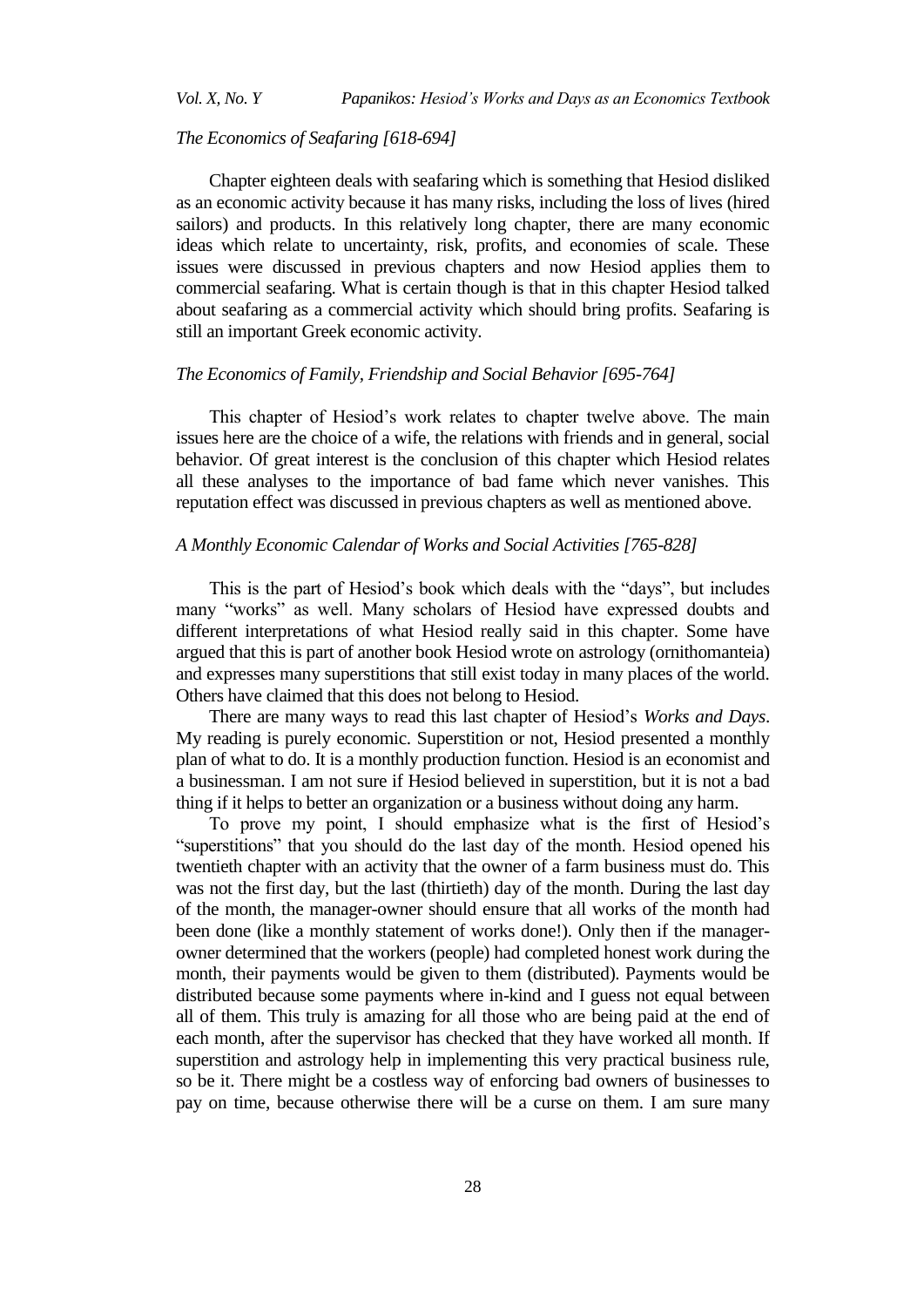### *The Economics of Seafaring [618-694]*

Chapter eighteen deals with seafaring which is something that Hesiod disliked as an economic activity because it has many risks, including the loss of lives (hired sailors) and products. In this relatively long chapter, there are many economic ideas which relate to uncertainty, risk, profits, and economies of scale. These issues were discussed in previous chapters and now Hesiod applies them to commercial seafaring. What is certain though is that in this chapter Hesiod talked about seafaring as a commercial activity which should bring profits. Seafaring is still an important Greek economic activity.

### *The Economics of Family, Friendship and Social Behavior [695-764]*

This chapter of Hesiod's work relates to chapter twelve above. The main issues here are the choice of a wife, the relations with friends and in general, social behavior. Of great interest is the conclusion of this chapter which Hesiod relates all these analyses to the importance of bad fame which never vanishes. This reputation effect was discussed in previous chapters as well as mentioned above.

#### *A Monthly Economic Calendar of Works and Social Activities [765-828]*

This is the part of Hesiod's book which deals with the "days", but includes many "works" as well. Many scholars of Hesiod have expressed doubts and different interpretations of what Hesiod really said in this chapter. Some have argued that this is part of another book Hesiod wrote on astrology (ornithomanteia) and expresses many superstitions that still exist today in many places of the world. Others have claimed that this does not belong to Hesiod.

There are many ways to read this last chapter of Hesiod's *Works and Days*. My reading is purely economic. Superstition or not, Hesiod presented a monthly plan of what to do. It is a monthly production function. Hesiod is an economist and a businessman. I am not sure if Hesiod believed in superstition, but it is not a bad thing if it helps to better an organization or a business without doing any harm.

To prove my point, I should emphasize what is the first of Hesiod's ―superstitions‖ that you should do the last day of the month. Hesiod opened his twentieth chapter with an activity that the owner of a farm business must do. This was not the first day, but the last (thirtieth) day of the month. During the last day of the month, the manager-owner should ensure that all works of the month had been done (like a monthly statement of works done!). Only then if the managerowner determined that the workers (people) had completed honest work during the month, their payments would be given to them (distributed). Payments would be distributed because some payments where in-kind and I guess not equal between all of them. This truly is amazing for all those who are being paid at the end of each month, after the supervisor has checked that they have worked all month. If superstition and astrology help in implementing this very practical business rule, so be it. There might be a costless way of enforcing bad owners of businesses to pay on time, because otherwise there will be a curse on them. I am sure many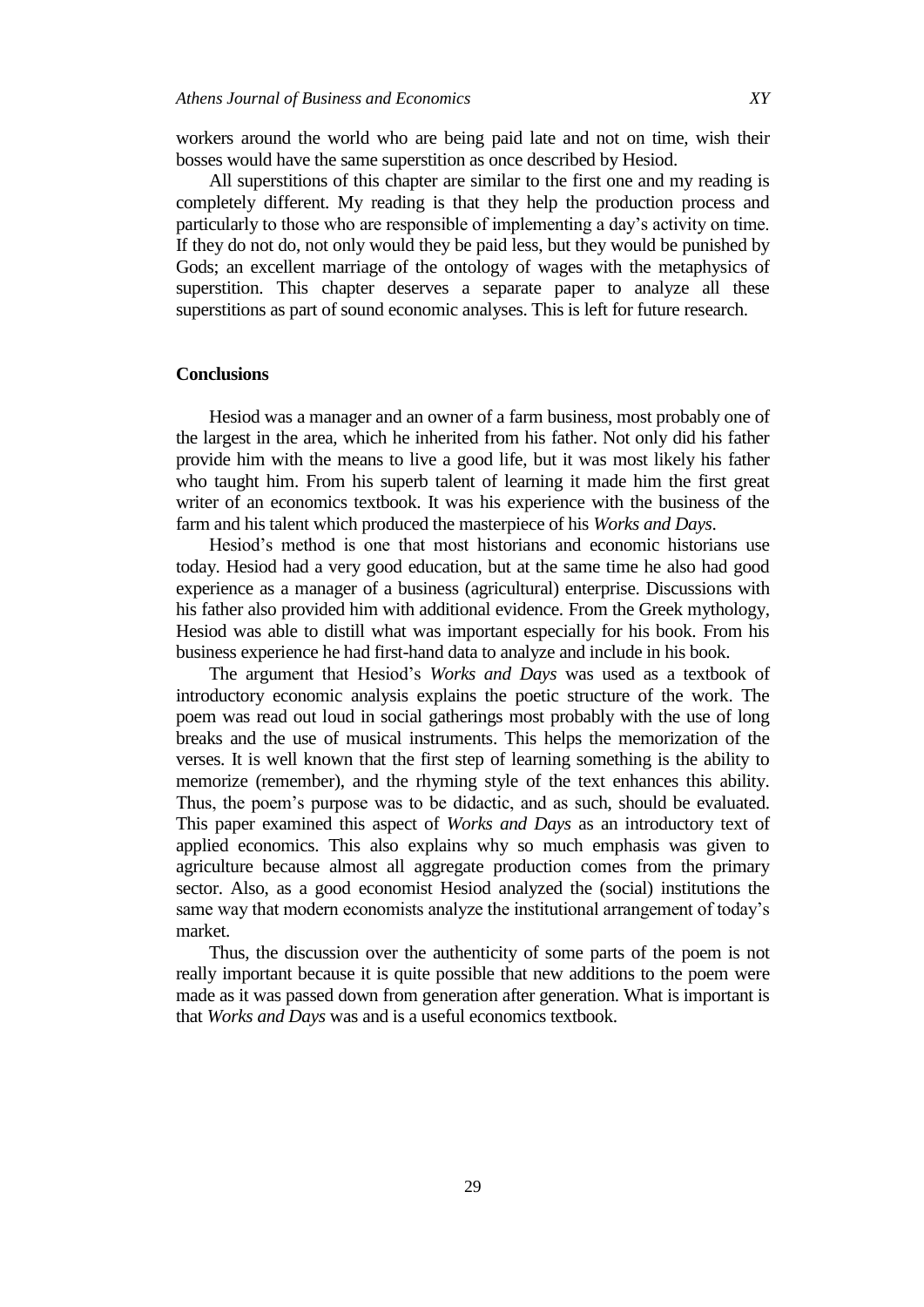workers around the world who are being paid late and not on time, wish their bosses would have the same superstition as once described by Hesiod.

All superstitions of this chapter are similar to the first one and my reading is completely different. My reading is that they help the production process and particularly to those who are responsible of implementing a day's activity on time. If they do not do, not only would they be paid less, but they would be punished by Gods; an excellent marriage of the ontology of wages with the metaphysics of superstition. This chapter deserves a separate paper to analyze all these superstitions as part of sound economic analyses. This is left for future research.

### **Conclusions**

Hesiod was a manager and an owner of a farm business, most probably one of the largest in the area, which he inherited from his father. Not only did his father provide him with the means to live a good life, but it was most likely his father who taught him. From his superb talent of learning it made him the first great writer of an economics textbook. It was his experience with the business of the farm and his talent which produced the masterpiece of his *Works and Days*.

Hesiod's method is one that most historians and economic historians use today. Hesiod had a very good education, but at the same time he also had good experience as a manager of a business (agricultural) enterprise. Discussions with his father also provided him with additional evidence. From the Greek mythology, Hesiod was able to distill what was important especially for his book. From his business experience he had first-hand data to analyze and include in his book.

The argument that Hesiod's *Works and Days* was used as a textbook of introductory economic analysis explains the poetic structure of the work. The poem was read out loud in social gatherings most probably with the use of long breaks and the use of musical instruments. This helps the memorization of the verses. It is well known that the first step of learning something is the ability to memorize (remember), and the rhyming style of the text enhances this ability. Thus, the poem's purpose was to be didactic, and as such, should be evaluated. This paper examined this aspect of *Works and Days* as an introductory text of applied economics. This also explains why so much emphasis was given to agriculture because almost all aggregate production comes from the primary sector. Also, as a good economist Hesiod analyzed the (social) institutions the same way that modern economists analyze the institutional arrangement of today's market.

Thus, the discussion over the authenticity of some parts of the poem is not really important because it is quite possible that new additions to the poem were made as it was passed down from generation after generation. What is important is that *Works and Days* was and is a useful economics textbook.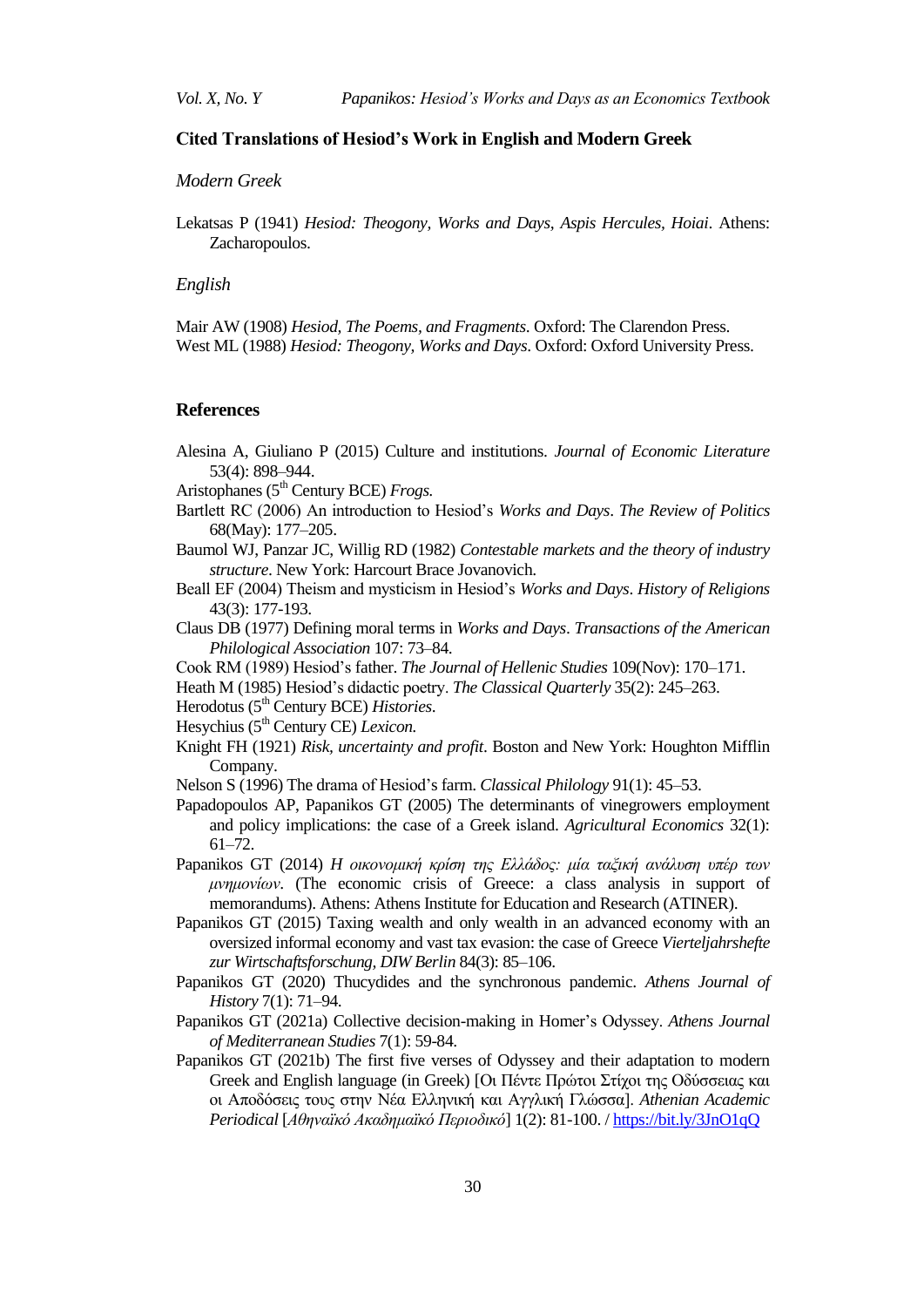### **Cited Translations of Hesiod's Work in English and Modern Greek**

### *Modern Greek*

Lekatsas P (1941) *Hesiod: Theogony, Works and Days, Aspis Hercules, Hoiai*. Athens: Zacharopoulos.

#### *English*

Mair AW (1908) *Hesiod, The Poems, and Fragments*. Oxford: The Clarendon Press. West ML (1988) *Hesiod: Theogony, Works and Days*. Oxford: Oxford University Press.

### **References**

- Alesina A, Giuliano P (2015) Culture and institutions. *Journal of Economic Literature* 53(4): 898–944.
- Aristophanes (5<sup>th</sup> Century BCE) *Frogs.*
- Bartlett RC (2006) An introduction to Hesiod's *Works and Days*. *The Review of Politics* 68(May): 177–205.
- Baumol WJ, Panzar JC, Willig RD (1982) *Contestable markets and the theory of industry structure*. New York: Harcourt Brace Jovanovich.
- Beall EF (2004) Theism and mysticism in Hesiod's *Works and Days*. *History of Religions* 43(3): 177-193.
- Claus DB (1977) Defining moral terms in *Works and Days*. *Transactions of the American Philological Association* 107: 73–84.
- Cook RM (1989) Hesiod's father. *The Journal of Hellenic Studies* 109(Nov): 170–171.
- Heath M (1985) Hesiod's didactic poetry. *The Classical Quarterly* 35(2): 245–263.
- Herodotus (5th Century BCE) *Histories*.
- Hesychius (5th Century CE) *Lexicon.*
- Knight FH (1921) *Risk, uncertainty and profit*. Boston and New York: Houghton Mifflin Company.
- Nelson S (1996) The drama of Hesiod's farm. *Classical Philology* 91(1): 45–53.
- Papadopoulos AP, Papanikos GT (2005) The determinants of vinegrowers employment and policy implications: the case of a Greek island. *Agricultural Economics* 32(1): 61–72.
- Papanikos GT (2014) *H οικονομική κρίση της Ελλάδος: μία ταξική ανάλυση υπέρ των μνημονίων*. (The economic crisis of Greece: a class analysis in support of memorandums). Athens: Athens Institute for Education and Research (ATINER).
- Papanikos GT (2015) Taxing wealth and only wealth in an advanced economy with an oversized informal economy and vast tax evasion: the case of Greece *Vierteljahrshefte zur Wirtschaftsforschung, DIW Berlin* 84(3): 85–106.
- Papanikos GT (2020) Thucydides and the synchronous pandemic. *Athens Journal of History* 7(1): 71–94.
- Papanikos GT (2021a) Collective decision-making in Homer's Odyssey. *Athens Journal of Mediterranean Studies* 7(1): 59-84.
- Papanikos GT (2021b) The first five verses of Odyssey and their adaptation to modern Greek and English language (in Greek) [Οι Πέντε Πρώτοι Στίγοι της Οδύσσειας και οι Αποδόσεις τους στην Νέα Ελληνική και Αγγλική Γλώσσα]. *Athenian Academic* Periodical [Αθηναϊκό Ακαδημαϊκό Περιοδικό] 1(2): 81-100. /<https://bit.ly/3JnO1qQ>